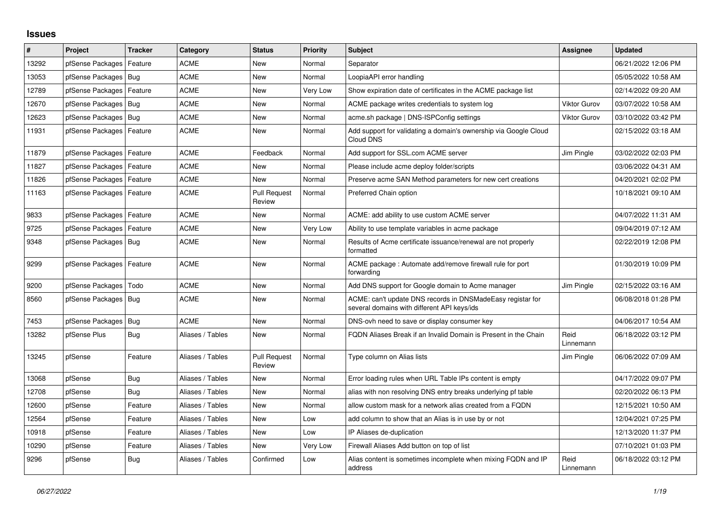## **Issues**

| #     | Project                    | <b>Tracker</b> | Category         | <b>Status</b>                 | <b>Priority</b> | <b>Subject</b>                                                                                            | Assignee            | <b>Updated</b>      |
|-------|----------------------------|----------------|------------------|-------------------------------|-----------------|-----------------------------------------------------------------------------------------------------------|---------------------|---------------------|
| 13292 | pfSense Packages           | Feature        | <b>ACME</b>      | <b>New</b>                    | Normal          | Separator                                                                                                 |                     | 06/21/2022 12:06 PM |
| 13053 | pfSense Packages           | Bug            | <b>ACME</b>      | <b>New</b>                    | Normal          | LoopiaAPI error handling                                                                                  |                     | 05/05/2022 10:58 AM |
| 12789 | pfSense Packages           | Feature        | ACME             | New                           | Very Low        | Show expiration date of certificates in the ACME package list                                             |                     | 02/14/2022 09:20 AM |
| 12670 | pfSense Packages           | Bug            | <b>ACME</b>      | <b>New</b>                    | Normal          | ACME package writes credentials to system log                                                             | <b>Viktor Gurov</b> | 03/07/2022 10:58 AM |
| 12623 | pfSense Packages   Bug     |                | <b>ACME</b>      | New                           | Normal          | acme.sh package   DNS-ISPConfig settings                                                                  | <b>Viktor Gurov</b> | 03/10/2022 03:42 PM |
| 11931 | pfSense Packages   Feature |                | <b>ACME</b>      | <b>New</b>                    | Normal          | Add support for validating a domain's ownership via Google Cloud<br>Cloud DNS                             |                     | 02/15/2022 03:18 AM |
| 11879 | pfSense Packages   Feature |                | <b>ACME</b>      | Feedback                      | Normal          | Add support for SSL.com ACME server                                                                       | Jim Pingle          | 03/02/2022 02:03 PM |
| 11827 | pfSense Packages           | Feature        | <b>ACME</b>      | New                           | Normal          | Please include acme deploy folder/scripts                                                                 |                     | 03/06/2022 04:31 AM |
| 11826 | pfSense Packages           | Feature        | <b>ACME</b>      | <b>New</b>                    | Normal          | Preserve acme SAN Method parameters for new cert creations                                                |                     | 04/20/2021 02:02 PM |
| 11163 | pfSense Packages           | Feature        | <b>ACME</b>      | <b>Pull Request</b><br>Review | Normal          | Preferred Chain option                                                                                    |                     | 10/18/2021 09:10 AM |
| 9833  | pfSense Packages           | Feature        | <b>ACME</b>      | <b>New</b>                    | Normal          | ACME: add ability to use custom ACME server                                                               |                     | 04/07/2022 11:31 AM |
| 9725  | pfSense Packages           | Feature        | <b>ACME</b>      | New                           | Very Low        | Ability to use template variables in acme package                                                         |                     | 09/04/2019 07:12 AM |
| 9348  | pfSense Packages   Bug     |                | <b>ACME</b>      | New                           | Normal          | Results of Acme certificate issuance/renewal are not properly<br>formatted                                |                     | 02/22/2019 12:08 PM |
| 9299  | pfSense Packages   Feature |                | <b>ACME</b>      | <b>New</b>                    | Normal          | ACME package : Automate add/remove firewall rule for port<br>forwarding                                   |                     | 01/30/2019 10:09 PM |
| 9200  | pfSense Packages           | Todo           | <b>ACME</b>      | <b>New</b>                    | Normal          | Add DNS support for Google domain to Acme manager                                                         | Jim Pingle          | 02/15/2022 03:16 AM |
| 8560  | pfSense Packages   Bug     |                | <b>ACME</b>      | New                           | Normal          | ACME: can't update DNS records in DNSMadeEasy registar for<br>several domains with different API keys/ids |                     | 06/08/2018 01:28 PM |
| 7453  | pfSense Packages           | Bug            | <b>ACME</b>      | New                           | Normal          | DNS-ovh need to save or display consumer key                                                              |                     | 04/06/2017 10:54 AM |
| 13282 | pfSense Plus               | Bug            | Aliases / Tables | <b>New</b>                    | Normal          | FQDN Aliases Break if an Invalid Domain is Present in the Chain                                           | Reid<br>Linnemann   | 06/18/2022 03:12 PM |
| 13245 | pfSense                    | Feature        | Aliases / Tables | <b>Pull Request</b><br>Review | Normal          | Type column on Alias lists                                                                                | Jim Pingle          | 06/06/2022 07:09 AM |
| 13068 | pfSense                    | Bug            | Aliases / Tables | New                           | Normal          | Error loading rules when URL Table IPs content is empty                                                   |                     | 04/17/2022 09:07 PM |
| 12708 | pfSense                    | Bug            | Aliases / Tables | <b>New</b>                    | Normal          | alias with non resolving DNS entry breaks underlying pf table                                             |                     | 02/20/2022 06:13 PM |
| 12600 | pfSense                    | Feature        | Aliases / Tables | New                           | Normal          | allow custom mask for a network alias created from a FQDN                                                 |                     | 12/15/2021 10:50 AM |
| 12564 | pfSense                    | Feature        | Aliases / Tables | New                           | Low             | add column to show that an Alias is in use by or not                                                      |                     | 12/04/2021 07:25 PM |
| 10918 | pfSense                    | Feature        | Aliases / Tables | New                           | Low             | IP Aliases de-duplication                                                                                 |                     | 12/13/2020 11:37 PM |
| 10290 | pfSense                    | Feature        | Aliases / Tables | <b>New</b>                    | Very Low        | Firewall Aliases Add button on top of list                                                                |                     | 07/10/2021 01:03 PM |
| 9296  | pfSense                    | <b>Bug</b>     | Aliases / Tables | Confirmed                     | Low             | Alias content is sometimes incomplete when mixing FQDN and IP<br>address                                  | Reid<br>Linnemann   | 06/18/2022 03:12 PM |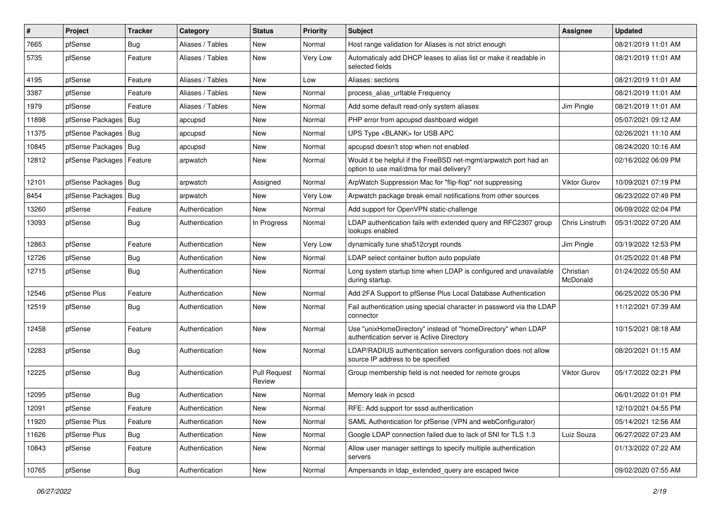| #     | Project                    | Tracker    | Category         | <b>Status</b>                 | <b>Priority</b> | <b>Subject</b>                                                                                                | <b>Assignee</b>       | <b>Updated</b>      |
|-------|----------------------------|------------|------------------|-------------------------------|-----------------|---------------------------------------------------------------------------------------------------------------|-----------------------|---------------------|
| 7665  | pfSense                    | Bug        | Aliases / Tables | New                           | Normal          | Host range validation for Aliases is not strict enough                                                        |                       | 08/21/2019 11:01 AM |
| 5735  | pfSense                    | Feature    | Aliases / Tables | New                           | Very Low        | Automaticaly add DHCP leases to alias list or make it readable in<br>selected fields                          |                       | 08/21/2019 11:01 AM |
| 4195  | pfSense                    | Feature    | Aliases / Tables | <b>New</b>                    | Low             | Aliases: sections                                                                                             |                       | 08/21/2019 11:01 AM |
| 3387  | pfSense                    | Feature    | Aliases / Tables | New                           | Normal          | process_alias_urltable Frequency                                                                              |                       | 08/21/2019 11:01 AM |
| 1979  | pfSense                    | Feature    | Aliases / Tables | New                           | Normal          | Add some default read-only system aliases                                                                     | Jim Pingle            | 08/21/2019 11:01 AM |
| 11898 | pfSense Packages   Bug     |            | apcupsd          | New                           | Normal          | PHP error from apcupsd dashboard widget                                                                       |                       | 05/07/2021 09:12 AM |
| 11375 | pfSense Packages   Bug     |            | apcupsd          | New                           | Normal          | UPS Type <blank> for USB APC</blank>                                                                          |                       | 02/26/2021 11:10 AM |
| 10845 | pfSense Packages   Bug     |            | apcupsd          | <b>New</b>                    | Normal          | apcupsd doesn't stop when not enabled                                                                         |                       | 08/24/2020 10:16 AM |
| 12812 | pfSense Packages   Feature |            | arpwatch         | New                           | Normal          | Would it be helpful if the FreeBSD net-mgmt/arpwatch port had an<br>option to use mail/dma for mail delivery? |                       | 02/16/2022 06:09 PM |
| 12101 | pfSense Packages   Bug     |            | arpwatch         | Assigned                      | Normal          | ArpWatch Suppression Mac for "flip-flop" not suppressing                                                      | Viktor Gurov          | 10/09/2021 07:19 PM |
| 8454  | pfSense Packages           | Bug        | arpwatch         | New                           | Very Low        | Arpwatch package break email notifications from other sources                                                 |                       | 06/23/2022 07:49 PM |
| 13260 | pfSense                    | Feature    | Authentication   | New                           | Normal          | Add support for OpenVPN static-challenge                                                                      |                       | 06/09/2022 02:04 PM |
| 13093 | pfSense                    | Bug        | Authentication   | In Progress                   | Normal          | LDAP authentication fails with extended query and RFC2307 group<br>lookups enabled                            | Chris Linstruth       | 05/31/2022 07:20 AM |
| 12863 | pfSense                    | Feature    | Authentication   | New                           | Very Low        | dynamically tune sha512crypt rounds                                                                           | Jim Pingle            | 03/19/2022 12:53 PM |
| 12726 | pfSense                    | <b>Bug</b> | Authentication   | New                           | Normal          | LDAP select container button auto populate                                                                    |                       | 01/25/2022 01:48 PM |
| 12715 | pfSense                    | <b>Bug</b> | Authentication   | New                           | Normal          | Long system startup time when LDAP is configured and unavailable<br>during startup.                           | Christian<br>McDonald | 01/24/2022 05:50 AM |
| 12546 | pfSense Plus               | Feature    | Authentication   | <b>New</b>                    | Normal          | Add 2FA Support to pfSense Plus Local Database Authentication                                                 |                       | 06/25/2022 05:30 PM |
| 12519 | pfSense                    | <b>Bug</b> | Authentication   | New                           | Normal          | Fail authentication using special character in password via the LDAP<br>connector                             |                       | 11/12/2021 07:39 AM |
| 12458 | pfSense                    | Feature    | Authentication   | New                           | Normal          | Use "unixHomeDirectory" instead of "homeDirectory" when LDAP<br>authentication server is Active Directory     |                       | 10/15/2021 08:18 AM |
| 12283 | pfSense                    | <b>Bug</b> | Authentication   | <b>New</b>                    | Normal          | LDAP/RADIUS authentication servers configuration does not allow<br>source IP address to be specified          |                       | 08/20/2021 01:15 AM |
| 12225 | pfSense                    | <b>Bug</b> | Authentication   | <b>Pull Request</b><br>Review | Normal          | Group membership field is not needed for remote groups                                                        | <b>Viktor Gurov</b>   | 05/17/2022 02:21 PM |
| 12095 | pfSense                    | <b>Bug</b> | Authentication   | New                           | Normal          | Memory leak in pcscd                                                                                          |                       | 06/01/2022 01:01 PM |
| 12091 | pfSense                    | Feature    | Authentication   | New                           | Normal          | RFE: Add support for sssd authentication                                                                      |                       | 12/10/2021 04:55 PM |
| 11920 | pfSense Plus               | Feature    | Authentication   | New                           | Normal          | SAML Authentication for pfSense (VPN and webConfigurator)                                                     |                       | 05/14/2021 12:56 AM |
| 11626 | pfSense Plus               | <b>Bug</b> | Authentication   | New                           | Normal          | Google LDAP connection failed due to lack of SNI for TLS 1.3                                                  | Luiz Souza            | 06/27/2022 07:23 AM |
| 10843 | pfSense                    | Feature    | Authentication   | New                           | Normal          | Allow user manager settings to specify multiple authentication<br>servers                                     |                       | 01/13/2022 07:22 AM |
| 10765 | pfSense                    | <b>Bug</b> | Authentication   | New                           | Normal          | Ampersands in Idap_extended_query are escaped twice                                                           |                       | 09/02/2020 07:55 AM |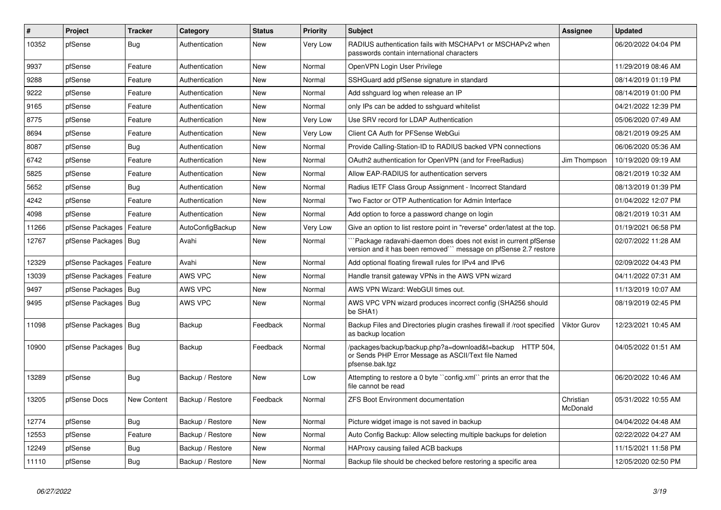| $\sharp$ | Project                | <b>Tracker</b> | Category         | <b>Status</b> | <b>Priority</b> | <b>Subject</b>                                                                                                                      | <b>Assignee</b>       | <b>Updated</b>      |
|----------|------------------------|----------------|------------------|---------------|-----------------|-------------------------------------------------------------------------------------------------------------------------------------|-----------------------|---------------------|
| 10352    | pfSense                | Bug            | Authentication   | <b>New</b>    | Very Low        | RADIUS authentication fails with MSCHAPv1 or MSCHAPv2 when<br>passwords contain international characters                            |                       | 06/20/2022 04:04 PM |
| 9937     | pfSense                | Feature        | Authentication   | <b>New</b>    | Normal          | OpenVPN Login User Privilege                                                                                                        |                       | 11/29/2019 08:46 AM |
| 9288     | pfSense                | Feature        | Authentication   | <b>New</b>    | Normal          | SSHGuard add pfSense signature in standard                                                                                          |                       | 08/14/2019 01:19 PM |
| 9222     | pfSense                | Feature        | Authentication   | <b>New</b>    | Normal          | Add sshguard log when release an IP                                                                                                 |                       | 08/14/2019 01:00 PM |
| 9165     | pfSense                | Feature        | Authentication   | <b>New</b>    | Normal          | only IPs can be added to sshguard whitelist                                                                                         |                       | 04/21/2022 12:39 PM |
| 8775     | pfSense                | Feature        | Authentication   | <b>New</b>    | Very Low        | Use SRV record for LDAP Authentication                                                                                              |                       | 05/06/2020 07:49 AM |
| 8694     | pfSense                | Feature        | Authentication   | <b>New</b>    | Very Low        | Client CA Auth for PFSense WebGui                                                                                                   |                       | 08/21/2019 09:25 AM |
| 8087     | pfSense                | <b>Bug</b>     | Authentication   | <b>New</b>    | Normal          | Provide Calling-Station-ID to RADIUS backed VPN connections                                                                         |                       | 06/06/2020 05:36 AM |
| 6742     | pfSense                | Feature        | Authentication   | <b>New</b>    | Normal          | OAuth2 authentication for OpenVPN (and for FreeRadius)                                                                              | Jim Thompson          | 10/19/2020 09:19 AM |
| 5825     | pfSense                | Feature        | Authentication   | <b>New</b>    | Normal          | Allow EAP-RADIUS for authentication servers                                                                                         |                       | 08/21/2019 10:32 AM |
| 5652     | pfSense                | <b>Bug</b>     | Authentication   | <b>New</b>    | Normal          | Radius IETF Class Group Assignment - Incorrect Standard                                                                             |                       | 08/13/2019 01:39 PM |
| 4242     | pfSense                | Feature        | Authentication   | <b>New</b>    | Normal          | Two Factor or OTP Authentication for Admin Interface                                                                                |                       | 01/04/2022 12:07 PM |
| 4098     | pfSense                | Feature        | Authentication   | <b>New</b>    | Normal          | Add option to force a password change on login                                                                                      |                       | 08/21/2019 10:31 AM |
| 11266    | pfSense Packages       | Feature        | AutoConfigBackup | <b>New</b>    | Very Low        | Give an option to list restore point in "reverse" order/latest at the top.                                                          |                       | 01/19/2021 06:58 PM |
| 12767    | pfSense Packages   Bug |                | Avahi            | New           | Normal          | Package radavahi-daemon does does not exist in current pfSense<br>version and it has been removed``` message on pfSense 2.7 restore |                       | 02/07/2022 11:28 AM |
| 12329    | pfSense Packages       | Feature        | Avahi            | <b>New</b>    | Normal          | Add optional floating firewall rules for IPv4 and IPv6                                                                              |                       | 02/09/2022 04:43 PM |
| 13039    | pfSense Packages       | Feature        | AWS VPC          | <b>New</b>    | Normal          | Handle transit gateway VPNs in the AWS VPN wizard                                                                                   |                       | 04/11/2022 07:31 AM |
| 9497     | pfSense Packages   Bug |                | AWS VPC          | <b>New</b>    | Normal          | AWS VPN Wizard: WebGUI times out.                                                                                                   |                       | 11/13/2019 10:07 AM |
| 9495     | pfSense Packages   Bug |                | AWS VPC          | <b>New</b>    | Normal          | AWS VPC VPN wizard produces incorrect config (SHA256 should<br>be SHA1)                                                             |                       | 08/19/2019 02:45 PM |
| 11098    | pfSense Packages   Bug |                | Backup           | Feedback      | Normal          | Backup Files and Directories plugin crashes firewall if /root specified<br>as backup location                                       | <b>Viktor Gurov</b>   | 12/23/2021 10:45 AM |
| 10900    | pfSense Packages   Bug |                | Backup           | Feedback      | Normal          | /packages/backup/backup.php?a=download&t=backup HTTP 504,<br>or Sends PHP Error Message as ASCII/Text file Named<br>pfsense.bak.tgz |                       | 04/05/2022 01:51 AM |
| 13289    | pfSense                | <b>Bug</b>     | Backup / Restore | <b>New</b>    | Low             | Attempting to restore a 0 byte "config.xml" prints an error that the<br>file cannot be read                                         |                       | 06/20/2022 10:46 AM |
| 13205    | pfSense Docs           | New Content    | Backup / Restore | Feedback      | Normal          | <b>ZFS Boot Environment documentation</b>                                                                                           | Christian<br>McDonald | 05/31/2022 10:55 AM |
| 12774    | pfSense                | Bug            | Backup / Restore | <b>New</b>    | Normal          | Picture widget image is not saved in backup                                                                                         |                       | 04/04/2022 04:48 AM |
| 12553    | pfSense                | Feature        | Backup / Restore | <b>New</b>    | Normal          | Auto Config Backup: Allow selecting multiple backups for deletion                                                                   |                       | 02/22/2022 04:27 AM |
| 12249    | pfSense                | <b>Bug</b>     | Backup / Restore | <b>New</b>    | Normal          | HAProxy causing failed ACB backups                                                                                                  |                       | 11/15/2021 11:58 PM |
| 11110    | pfSense                | <b>Bug</b>     | Backup / Restore | New           | Normal          | Backup file should be checked before restoring a specific area                                                                      |                       | 12/05/2020 02:50 PM |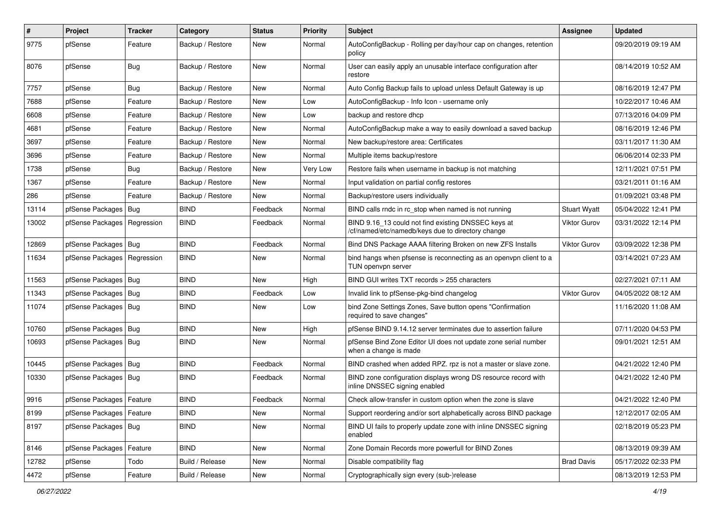| $\pmb{\#}$ | Project                       | <b>Tracker</b> | Category         | <b>Status</b> | <b>Priority</b> | <b>Subject</b>                                                                                           | <b>Assignee</b>     | <b>Updated</b>      |
|------------|-------------------------------|----------------|------------------|---------------|-----------------|----------------------------------------------------------------------------------------------------------|---------------------|---------------------|
| 9775       | pfSense                       | Feature        | Backup / Restore | New           | Normal          | AutoConfigBackup - Rolling per day/hour cap on changes, retention<br>policy                              |                     | 09/20/2019 09:19 AM |
| 8076       | pfSense                       | Bug            | Backup / Restore | New           | Normal          | User can easily apply an unusable interface configuration after<br>restore                               |                     | 08/14/2019 10:52 AM |
| 7757       | pfSense                       | Bug            | Backup / Restore | <b>New</b>    | Normal          | Auto Config Backup fails to upload unless Default Gateway is up                                          |                     | 08/16/2019 12:47 PM |
| 7688       | pfSense                       | Feature        | Backup / Restore | New           | Low             | AutoConfigBackup - Info Icon - username only                                                             |                     | 10/22/2017 10:46 AM |
| 6608       | pfSense                       | Feature        | Backup / Restore | New           | Low             | backup and restore dhcp                                                                                  |                     | 07/13/2016 04:09 PM |
| 4681       | pfSense                       | Feature        | Backup / Restore | New           | Normal          | AutoConfigBackup make a way to easily download a saved backup                                            |                     | 08/16/2019 12:46 PM |
| 3697       | pfSense                       | Feature        | Backup / Restore | New           | Normal          | New backup/restore area: Certificates                                                                    |                     | 03/11/2017 11:30 AM |
| 3696       | pfSense                       | Feature        | Backup / Restore | New           | Normal          | Multiple items backup/restore                                                                            |                     | 06/06/2014 02:33 PM |
| 1738       | pfSense                       | <b>Bug</b>     | Backup / Restore | New           | Very Low        | Restore fails when username in backup is not matching                                                    |                     | 12/11/2021 07:51 PM |
| 1367       | pfSense                       | Feature        | Backup / Restore | New           | Normal          | Input validation on partial config restores                                                              |                     | 03/21/2011 01:16 AM |
| 286        | pfSense                       | Feature        | Backup / Restore | New           | Normal          | Backup/restore users individually                                                                        |                     | 01/09/2021 03:48 PM |
| 13114      | pfSense Packages              | Bug            | <b>BIND</b>      | Feedback      | Normal          | BIND calls rndc in rc stop when named is not running                                                     | <b>Stuart Wyatt</b> | 05/04/2022 12:41 PM |
| 13002      | pfSense Packages   Regression |                | <b>BIND</b>      | Feedback      | Normal          | BIND 9.16 13 could not find existing DNSSEC keys at<br>/cf/named/etc/namedb/keys due to directory change | <b>Viktor Gurov</b> | 03/31/2022 12:14 PM |
| 12869      | pfSense Packages   Bug        |                | <b>BIND</b>      | Feedback      | Normal          | Bind DNS Package AAAA filtering Broken on new ZFS Installs                                               | Viktor Gurov        | 03/09/2022 12:38 PM |
| 11634      | pfSense Packages              | Regression     | <b>BIND</b>      | New           | Normal          | bind hangs when pfsense is reconnecting as an openvpn client to a<br>TUN openvpn server                  |                     | 03/14/2021 07:23 AM |
| 11563      | pfSense Packages   Bug        |                | <b>BIND</b>      | New           | High            | BIND GUI writes TXT records > 255 characters                                                             |                     | 02/27/2021 07:11 AM |
| 11343      | pfSense Packages              | Bug            | <b>BIND</b>      | Feedback      | Low             | Invalid link to pfSense-pkg-bind changelog                                                               | Viktor Gurov        | 04/05/2022 08:12 AM |
| 11074      | pfSense Packages   Bug        |                | <b>BIND</b>      | New           | Low             | bind Zone Settings Zones, Save button opens "Confirmation<br>required to save changes"                   |                     | 11/16/2020 11:08 AM |
| 10760      | pfSense Packages   Bug        |                | <b>BIND</b>      | New           | High            | pfSense BIND 9.14.12 server terminates due to assertion failure                                          |                     | 07/11/2020 04:53 PM |
| 10693      | pfSense Packages   Bug        |                | <b>BIND</b>      | New           | Normal          | pfSense Bind Zone Editor UI does not update zone serial number<br>when a change is made                  |                     | 09/01/2021 12:51 AM |
| 10445      | pfSense Packages              | Bug            | <b>BIND</b>      | Feedback      | Normal          | BIND crashed when added RPZ. rpz is not a master or slave zone.                                          |                     | 04/21/2022 12:40 PM |
| 10330      | pfSense Packages   Bug        |                | <b>BIND</b>      | Feedback      | Normal          | BIND zone configuration displays wrong DS resource record with<br>inline DNSSEC signing enabled          |                     | 04/21/2022 12:40 PM |
| 9916       | pfSense Packages   Feature    |                | <b>BIND</b>      | Feedback      | Normal          | Check allow-transfer in custom option when the zone is slave                                             |                     | 04/21/2022 12:40 PM |
| 8199       | pfSense Packages   Feature    |                | <b>BIND</b>      | New           | Normal          | Support reordering and/or sort alphabetically across BIND package                                        |                     | 12/12/2017 02:05 AM |
| 8197       | pfSense Packages   Bug        |                | <b>BIND</b>      | New           | Normal          | BIND UI fails to properly update zone with inline DNSSEC signing<br>enabled                              |                     | 02/18/2019 05:23 PM |
| 8146       | pfSense Packages              | Feature        | <b>BIND</b>      | <b>New</b>    | Normal          | Zone Domain Records more powerfull for BIND Zones                                                        |                     | 08/13/2019 09:39 AM |
| 12782      | pfSense                       | Todo           | Build / Release  | New           | Normal          | Disable compatibility flag                                                                               | <b>Brad Davis</b>   | 05/17/2022 02:33 PM |
| 4472       | pfSense                       | Feature        | Build / Release  | New           | Normal          | Cryptographically sign every (sub-)release                                                               |                     | 08/13/2019 12:53 PM |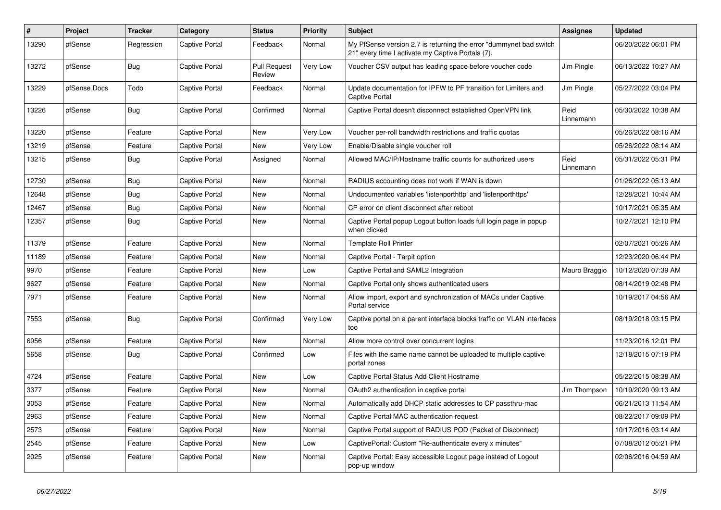| #     | Project      | <b>Tracker</b> | Category              | <b>Status</b>                 | <b>Priority</b> | <b>Subject</b>                                                                                                          | Assignee          | <b>Updated</b>      |
|-------|--------------|----------------|-----------------------|-------------------------------|-----------------|-------------------------------------------------------------------------------------------------------------------------|-------------------|---------------------|
| 13290 | pfSense      | Regression     | Captive Portal        | Feedback                      | Normal          | My PfSense version 2.7 is returning the error "dummynet bad switch<br>21" every time I activate my Captive Portals (7). |                   | 06/20/2022 06:01 PM |
| 13272 | pfSense      | <b>Bug</b>     | Captive Portal        | <b>Pull Request</b><br>Review | Very Low        | Voucher CSV output has leading space before voucher code                                                                | Jim Pingle        | 06/13/2022 10:27 AM |
| 13229 | pfSense Docs | Todo           | Captive Portal        | Feedback                      | Normal          | Update documentation for IPFW to PF transition for Limiters and<br><b>Captive Portal</b>                                | Jim Pingle        | 05/27/2022 03:04 PM |
| 13226 | pfSense      | Bug            | Captive Portal        | Confirmed                     | Normal          | Captive Portal doesn't disconnect established OpenVPN link                                                              | Reid<br>Linnemann | 05/30/2022 10:38 AM |
| 13220 | pfSense      | Feature        | Captive Portal        | New                           | Very Low        | Voucher per-roll bandwidth restrictions and traffic quotas                                                              |                   | 05/26/2022 08:16 AM |
| 13219 | pfSense      | Feature        | Captive Portal        | <b>New</b>                    | Very Low        | Enable/Disable single voucher roll                                                                                      |                   | 05/26/2022 08:14 AM |
| 13215 | pfSense      | Bug            | Captive Portal        | Assigned                      | Normal          | Allowed MAC/IP/Hostname traffic counts for authorized users                                                             | Reid<br>Linnemann | 05/31/2022 05:31 PM |
| 12730 | pfSense      | Bug            | Captive Portal        | <b>New</b>                    | Normal          | RADIUS accounting does not work if WAN is down                                                                          |                   | 01/26/2022 05:13 AM |
| 12648 | pfSense      | Bug            | Captive Portal        | New                           | Normal          | Undocumented variables 'listenporthttp' and 'listenporthttps'                                                           |                   | 12/28/2021 10:44 AM |
| 12467 | pfSense      | Bug            | Captive Portal        | <b>New</b>                    | Normal          | CP error on client disconnect after reboot                                                                              |                   | 10/17/2021 05:35 AM |
| 12357 | pfSense      | Bug            | Captive Portal        | New                           | Normal          | Captive Portal popup Logout button loads full login page in popup<br>when clicked                                       |                   | 10/27/2021 12:10 PM |
| 11379 | pfSense      | Feature        | Captive Portal        | <b>New</b>                    | Normal          | <b>Template Roll Printer</b>                                                                                            |                   | 02/07/2021 05:26 AM |
| 11189 | pfSense      | Feature        | Captive Portal        | <b>New</b>                    | Normal          | Captive Portal - Tarpit option                                                                                          |                   | 12/23/2020 06:44 PM |
| 9970  | pfSense      | Feature        | Captive Portal        | <b>New</b>                    | Low             | Captive Portal and SAML2 Integration                                                                                    | Mauro Braggio     | 10/12/2020 07:39 AM |
| 9627  | pfSense      | Feature        | Captive Portal        | <b>New</b>                    | Normal          | Captive Portal only shows authenticated users                                                                           |                   | 08/14/2019 02:48 PM |
| 7971  | pfSense      | Feature        | Captive Portal        | <b>New</b>                    | Normal          | Allow import, export and synchronization of MACs under Captive<br>Portal service                                        |                   | 10/19/2017 04:56 AM |
| 7553  | pfSense      | Bug            | Captive Portal        | Confirmed                     | Very Low        | Captive portal on a parent interface blocks traffic on VLAN interfaces<br>too                                           |                   | 08/19/2018 03:15 PM |
| 6956  | pfSense      | Feature        | Captive Portal        | <b>New</b>                    | Normal          | Allow more control over concurrent logins                                                                               |                   | 11/23/2016 12:01 PM |
| 5658  | pfSense      | <b>Bug</b>     | Captive Portal        | Confirmed                     | Low             | Files with the same name cannot be uploaded to multiple captive<br>portal zones                                         |                   | 12/18/2015 07:19 PM |
| 4724  | pfSense      | Feature        | Captive Portal        | <b>New</b>                    | Low             | Captive Portal Status Add Client Hostname                                                                               |                   | 05/22/2015 08:38 AM |
| 3377  | pfSense      | Feature        | Captive Portal        | <b>New</b>                    | Normal          | OAuth2 authentication in captive portal                                                                                 | Jim Thompson      | 10/19/2020 09:13 AM |
| 3053  | pfSense      | Feature        | Captive Portal        | <b>New</b>                    | Normal          | Automatically add DHCP static addresses to CP passthru-mac                                                              |                   | 06/21/2013 11:54 AM |
| 2963  | pfSense      | Feature        | Captive Portal        | <b>New</b>                    | Normal          | Captive Portal MAC authentication request                                                                               |                   | 08/22/2017 09:09 PM |
| 2573  | pfSense      | Feature        | Captive Portal        | <b>New</b>                    | Normal          | Captive Portal support of RADIUS POD (Packet of Disconnect)                                                             |                   | 10/17/2016 03:14 AM |
| 2545  | pfSense      | Feature        | Captive Portal        | <b>New</b>                    | Low             | CaptivePortal: Custom "Re-authenticate every x minutes"                                                                 |                   | 07/08/2012 05:21 PM |
| 2025  | pfSense      | Feature        | <b>Captive Portal</b> | <b>New</b>                    | Normal          | Captive Portal: Easy accessible Logout page instead of Logout<br>pop-up window                                          |                   | 02/06/2016 04:59 AM |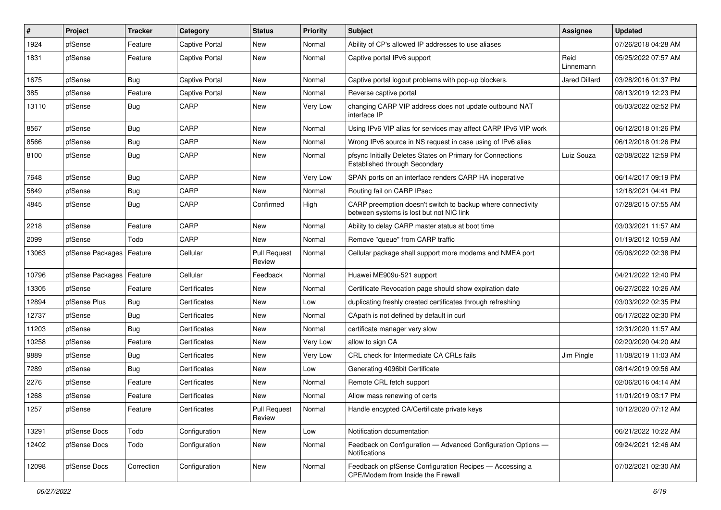| #     | Project                    | Tracker    | Category              | <b>Status</b>                 | <b>Priority</b> | Subject                                                                                                 | <b>Assignee</b>   | <b>Updated</b>      |
|-------|----------------------------|------------|-----------------------|-------------------------------|-----------------|---------------------------------------------------------------------------------------------------------|-------------------|---------------------|
| 1924  | pfSense                    | Feature    | Captive Portal        | New                           | Normal          | Ability of CP's allowed IP addresses to use aliases                                                     |                   | 07/26/2018 04:28 AM |
| 1831  | pfSense                    | Feature    | Captive Portal        | <b>New</b>                    | Normal          | Captive portal IPv6 support                                                                             | Reid<br>Linnemann | 05/25/2022 07:57 AM |
| 1675  | pfSense                    | <b>Bug</b> | <b>Captive Portal</b> | <b>New</b>                    | Normal          | Captive portal logout problems with pop-up blockers.                                                    | Jared Dillard     | 03/28/2016 01:37 PM |
| 385   | pfSense                    | Feature    | Captive Portal        | <b>New</b>                    | Normal          | Reverse captive portal                                                                                  |                   | 08/13/2019 12:23 PM |
| 13110 | pfSense                    | <b>Bug</b> | CARP                  | New                           | Very Low        | changing CARP VIP address does not update outbound NAT<br>interface IP                                  |                   | 05/03/2022 02:52 PM |
| 8567  | pfSense                    | <b>Bug</b> | CARP                  | <b>New</b>                    | Normal          | Using IPv6 VIP alias for services may affect CARP IPv6 VIP work                                         |                   | 06/12/2018 01:26 PM |
| 8566  | pfSense                    | <b>Bug</b> | CARP                  | New                           | Normal          | Wrong IPv6 source in NS request in case using of IPv6 alias                                             |                   | 06/12/2018 01:26 PM |
| 8100  | pfSense                    | <b>Bug</b> | CARP                  | <b>New</b>                    | Normal          | pfsync Initially Deletes States on Primary for Connections<br>Established through Secondary             | Luiz Souza        | 02/08/2022 12:59 PM |
| 7648  | pfSense                    | <b>Bug</b> | CARP                  | <b>New</b>                    | Very Low        | SPAN ports on an interface renders CARP HA inoperative                                                  |                   | 06/14/2017 09:19 PM |
| 5849  | pfSense                    | <b>Bug</b> | CARP                  | <b>New</b>                    | Normal          | Routing fail on CARP IPsec                                                                              |                   | 12/18/2021 04:41 PM |
| 4845  | pfSense                    | <b>Bug</b> | CARP                  | Confirmed                     | High            | CARP preemption doesn't switch to backup where connectivity<br>between systems is lost but not NIC link |                   | 07/28/2015 07:55 AM |
| 2218  | pfSense                    | Feature    | CARP                  | <b>New</b>                    | Normal          | Ability to delay CARP master status at boot time                                                        |                   | 03/03/2021 11:57 AM |
| 2099  | pfSense                    | Todo       | CARP                  | New                           | Normal          | Remove "queue" from CARP traffic                                                                        |                   | 01/19/2012 10:59 AM |
| 13063 | pfSense Packages   Feature |            | Cellular              | <b>Pull Request</b><br>Review | Normal          | Cellular package shall support more modems and NMEA port                                                |                   | 05/06/2022 02:38 PM |
| 10796 | pfSense Packages   Feature |            | Cellular              | Feedback                      | Normal          | Huawei ME909u-521 support                                                                               |                   | 04/21/2022 12:40 PM |
| 13305 | pfSense                    | Feature    | Certificates          | New                           | Normal          | Certificate Revocation page should show expiration date                                                 |                   | 06/27/2022 10:26 AM |
| 12894 | pfSense Plus               | <b>Bug</b> | Certificates          | New                           | Low             | duplicating freshly created certificates through refreshing                                             |                   | 03/03/2022 02:35 PM |
| 12737 | pfSense                    | <b>Bug</b> | Certificates          | New                           | Normal          | CApath is not defined by default in curl                                                                |                   | 05/17/2022 02:30 PM |
| 11203 | pfSense                    | <b>Bug</b> | Certificates          | <b>New</b>                    | Normal          | certificate manager very slow                                                                           |                   | 12/31/2020 11:57 AM |
| 10258 | pfSense                    | Feature    | Certificates          | <b>New</b>                    | Very Low        | allow to sign CA                                                                                        |                   | 02/20/2020 04:20 AM |
| 9889  | pfSense                    | <b>Bug</b> | Certificates          | New                           | Very Low        | CRL check for Intermediate CA CRLs fails                                                                | Jim Pingle        | 11/08/2019 11:03 AM |
| 7289  | pfSense                    | <b>Bug</b> | Certificates          | New                           | Low             | Generating 4096bit Certificate                                                                          |                   | 08/14/2019 09:56 AM |
| 2276  | pfSense                    | Feature    | Certificates          | New                           | Normal          | Remote CRL fetch support                                                                                |                   | 02/06/2016 04:14 AM |
| 1268  | pfSense                    | Feature    | Certificates          | New                           | Normal          | Allow mass renewing of certs                                                                            |                   | 11/01/2019 03:17 PM |
| 1257  | pfSense                    | Feature    | Certificates          | <b>Pull Request</b><br>Review | Normal          | Handle encypted CA/Certificate private keys                                                             |                   | 10/12/2020 07:12 AM |
| 13291 | pfSense Docs               | Todo       | Configuration         | New                           | Low             | Notification documentation                                                                              |                   | 06/21/2022 10:22 AM |
| 12402 | pfSense Docs               | Todo       | Configuration         | New                           | Normal          | Feedback on Configuration - Advanced Configuration Options -<br><b>Notifications</b>                    |                   | 09/24/2021 12:46 AM |
| 12098 | pfSense Docs               | Correction | Configuration         | New                           | Normal          | Feedback on pfSense Configuration Recipes - Accessing a<br>CPE/Modem from Inside the Firewall           |                   | 07/02/2021 02:30 AM |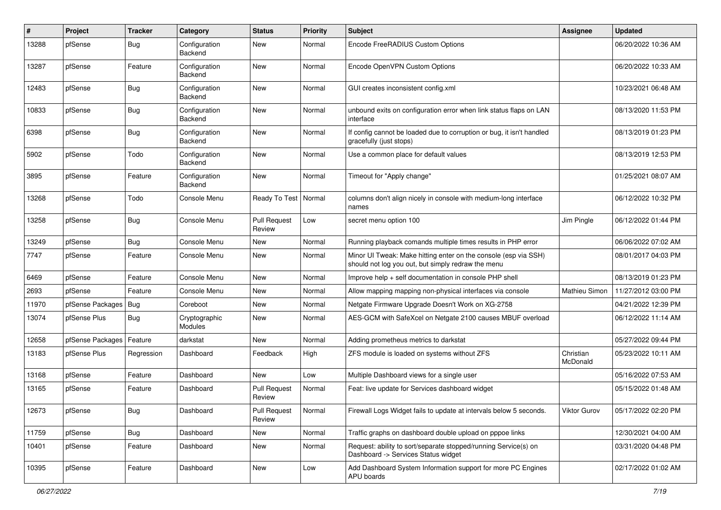| $\#$  | Project          | <b>Tracker</b> | Category                 | <b>Status</b>                 | <b>Priority</b> | Subject                                                                                                               | Assignee              | <b>Updated</b>      |
|-------|------------------|----------------|--------------------------|-------------------------------|-----------------|-----------------------------------------------------------------------------------------------------------------------|-----------------------|---------------------|
| 13288 | pfSense          | Bug            | Configuration<br>Backend | New                           | Normal          | Encode FreeRADIUS Custom Options                                                                                      |                       | 06/20/2022 10:36 AM |
| 13287 | pfSense          | Feature        | Configuration<br>Backend | New                           | Normal          | Encode OpenVPN Custom Options                                                                                         |                       | 06/20/2022 10:33 AM |
| 12483 | pfSense          | Bug            | Configuration<br>Backend | <b>New</b>                    | Normal          | GUI creates inconsistent config.xml                                                                                   |                       | 10/23/2021 06:48 AM |
| 10833 | pfSense          | <b>Bug</b>     | Configuration<br>Backend | New                           | Normal          | unbound exits on configuration error when link status flaps on LAN<br>interface                                       |                       | 08/13/2020 11:53 PM |
| 6398  | pfSense          | <b>Bug</b>     | Configuration<br>Backend | <b>New</b>                    | Normal          | If config cannot be loaded due to corruption or bug, it isn't handled<br>gracefully (just stops)                      |                       | 08/13/2019 01:23 PM |
| 5902  | pfSense          | Todo           | Configuration<br>Backend | New                           | Normal          | Use a common place for default values                                                                                 |                       | 08/13/2019 12:53 PM |
| 3895  | pfSense          | Feature        | Configuration<br>Backend | <b>New</b>                    | Normal          | Timeout for "Apply change"                                                                                            |                       | 01/25/2021 08:07 AM |
| 13268 | pfSense          | Todo           | Console Menu             | Ready To Test                 | Normal          | columns don't align nicely in console with medium-long interface<br>names                                             |                       | 06/12/2022 10:32 PM |
| 13258 | pfSense          | Bug            | Console Menu             | <b>Pull Request</b><br>Review | Low             | secret menu option 100                                                                                                | Jim Pingle            | 06/12/2022 01:44 PM |
| 13249 | pfSense          | <b>Bug</b>     | Console Menu             | <b>New</b>                    | Normal          | Running playback comands multiple times results in PHP error                                                          |                       | 06/06/2022 07:02 AM |
| 7747  | pfSense          | Feature        | Console Menu             | New                           | Normal          | Minor UI Tweak: Make hitting enter on the console (esp via SSH)<br>should not log you out, but simply redraw the menu |                       | 08/01/2017 04:03 PM |
| 6469  | pfSense          | Feature        | Console Menu             | <b>New</b>                    | Normal          | Improve help + self documentation in console PHP shell                                                                |                       | 08/13/2019 01:23 PM |
| 2693  | pfSense          | Feature        | Console Menu             | New                           | Normal          | Allow mapping mapping non-physical interfaces via console                                                             | Mathieu Simon         | 11/27/2012 03:00 PM |
| 11970 | pfSense Packages | Bug            | Coreboot                 | <b>New</b>                    | Normal          | Netgate Firmware Upgrade Doesn't Work on XG-2758                                                                      |                       | 04/21/2022 12:39 PM |
| 13074 | pfSense Plus     | Bug            | Cryptographic<br>Modules | New                           | Normal          | AES-GCM with SafeXcel on Netgate 2100 causes MBUF overload                                                            |                       | 06/12/2022 11:14 AM |
| 12658 | pfSense Packages | Feature        | darkstat                 | <b>New</b>                    | Normal          | Adding prometheus metrics to darkstat                                                                                 |                       | 05/27/2022 09:44 PM |
| 13183 | pfSense Plus     | Regression     | Dashboard                | Feedback                      | High            | ZFS module is loaded on systems without ZFS                                                                           | Christian<br>McDonald | 05/23/2022 10:11 AM |
| 13168 | pfSense          | Feature        | Dashboard                | <b>New</b>                    | Low             | Multiple Dashboard views for a single user                                                                            |                       | 05/16/2022 07:53 AM |
| 13165 | pfSense          | Feature        | Dashboard                | <b>Pull Request</b><br>Review | Normal          | Feat: live update for Services dashboard widget                                                                       |                       | 05/15/2022 01:48 AM |
| 12673 | pfSense          | <b>Bug</b>     | Dashboard                | <b>Pull Request</b><br>Review | Normal          | Firewall Logs Widget fails to update at intervals below 5 seconds.                                                    | Viktor Gurov          | 05/17/2022 02:20 PM |
| 11759 | pfSense          | <b>Bug</b>     | Dashboard                | New                           | Normal          | Traffic graphs on dashboard double upload on pppoe links                                                              |                       | 12/30/2021 04:00 AM |
| 10401 | pfSense          | Feature        | Dashboard                | New                           | Normal          | Request: ability to sort/separate stopped/running Service(s) on<br>Dashboard -> Services Status widget                |                       | 03/31/2020 04:48 PM |
| 10395 | pfSense          | Feature        | Dashboard                | New                           | Low             | Add Dashboard System Information support for more PC Engines<br><b>APU</b> boards                                     |                       | 02/17/2022 01:02 AM |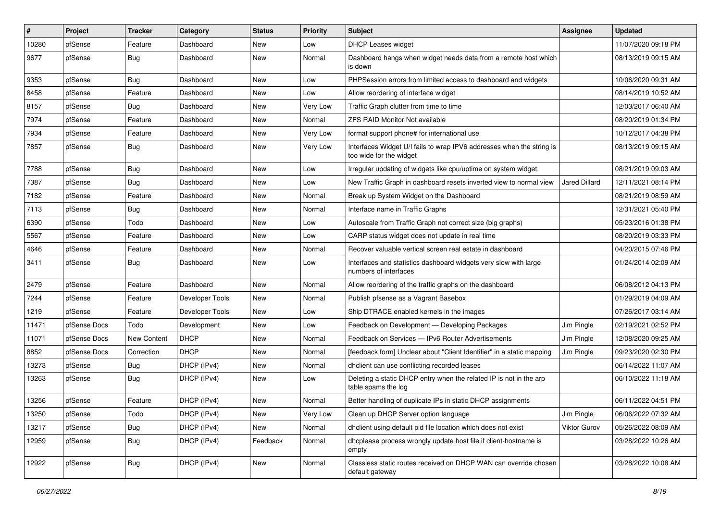| #     | Project      | Tracker     | Category        | <b>Status</b> | <b>Priority</b> | Subject                                                                                          | <b>Assignee</b> | <b>Updated</b>      |
|-------|--------------|-------------|-----------------|---------------|-----------------|--------------------------------------------------------------------------------------------------|-----------------|---------------------|
| 10280 | pfSense      | Feature     | Dashboard       | New           | Low             | <b>DHCP Leases widget</b>                                                                        |                 | 11/07/2020 09:18 PM |
| 9677  | pfSense      | <b>Bug</b>  | Dashboard       | New           | Normal          | Dashboard hangs when widget needs data from a remote host which<br>is down                       |                 | 08/13/2019 09:15 AM |
| 9353  | pfSense      | <b>Bug</b>  | Dashboard       | <b>New</b>    | Low             | PHPSession errors from limited access to dashboard and widgets                                   |                 | 10/06/2020 09:31 AM |
| 8458  | pfSense      | Feature     | Dashboard       | New           | Low             | Allow reordering of interface widget                                                             |                 | 08/14/2019 10:52 AM |
| 8157  | pfSense      | <b>Bug</b>  | Dashboard       | New           | Very Low        | Traffic Graph clutter from time to time                                                          |                 | 12/03/2017 06:40 AM |
| 7974  | pfSense      | Feature     | Dashboard       | New           | Normal          | <b>ZFS RAID Monitor Not available</b>                                                            |                 | 08/20/2019 01:34 PM |
| 7934  | pfSense      | Feature     | Dashboard       | New           | Very Low        | format support phone# for international use                                                      |                 | 10/12/2017 04:38 PM |
| 7857  | pfSense      | <b>Bug</b>  | Dashboard       | New           | Very Low        | Interfaces Widget U/I fails to wrap IPV6 addresses when the string is<br>too wide for the widget |                 | 08/13/2019 09:15 AM |
| 7788  | pfSense      | <b>Bug</b>  | Dashboard       | New           | Low             | Irregular updating of widgets like cpu/uptime on system widget.                                  |                 | 08/21/2019 09:03 AM |
| 7387  | pfSense      | <b>Bug</b>  | Dashboard       | New           | Low             | New Traffic Graph in dashboard resets inverted view to normal view                               | Jared Dillard   | 12/11/2021 08:14 PM |
| 7182  | pfSense      | Feature     | Dashboard       | New           | Normal          | Break up System Widget on the Dashboard                                                          |                 | 08/21/2019 08:59 AM |
| 7113  | pfSense      | Bug         | Dashboard       | New           | Normal          | Interface name in Traffic Graphs                                                                 |                 | 12/31/2021 05:40 PM |
| 6390  | pfSense      | Todo        | Dashboard       | New           | Low             | Autoscale from Traffic Graph not correct size (big graphs)                                       |                 | 05/23/2016 01:38 PM |
| 5567  | pfSense      | Feature     | Dashboard       | New           | Low             | CARP status widget does not update in real time                                                  |                 | 08/20/2019 03:33 PM |
| 4646  | pfSense      | Feature     | Dashboard       | New           | Normal          | Recover valuable vertical screen real estate in dashboard                                        |                 | 04/20/2015 07:46 PM |
| 3411  | pfSense      | <b>Bug</b>  | Dashboard       | New           | Low             | Interfaces and statistics dashboard widgets very slow with large<br>numbers of interfaces        |                 | 01/24/2014 02:09 AM |
| 2479  | pfSense      | Feature     | Dashboard       | <b>New</b>    | Normal          | Allow reordering of the traffic graphs on the dashboard                                          |                 | 06/08/2012 04:13 PM |
| 7244  | pfSense      | Feature     | Developer Tools | <b>New</b>    | Normal          | Publish pfsense as a Vagrant Basebox                                                             |                 | 01/29/2019 04:09 AM |
| 1219  | pfSense      | Feature     | Developer Tools | New           | Low             | Ship DTRACE enabled kernels in the images                                                        |                 | 07/26/2017 03:14 AM |
| 11471 | pfSense Docs | Todo        | Development     | <b>New</b>    | Low             | Feedback on Development - Developing Packages                                                    | Jim Pingle      | 02/19/2021 02:52 PM |
| 11071 | pfSense Docs | New Content | <b>DHCP</b>     | New           | Normal          | Feedback on Services - IPv6 Router Advertisements                                                | Jim Pingle      | 12/08/2020 09:25 AM |
| 8852  | pfSense Docs | Correction  | <b>DHCP</b>     | New           | Normal          | [feedback form] Unclear about "Client Identifier" in a static mapping                            | Jim Pingle      | 09/23/2020 02:30 PM |
| 13273 | pfSense      | <b>Bug</b>  | DHCP (IPv4)     | New           | Normal          | dhclient can use conflicting recorded leases                                                     |                 | 06/14/2022 11:07 AM |
| 13263 | pfSense      | <b>Bug</b>  | DHCP (IPv4)     | New           | Low             | Deleting a static DHCP entry when the related IP is not in the arp<br>table spams the log        |                 | 06/10/2022 11:18 AM |
| 13256 | pfSense      | Feature     | DHCP (IPv4)     | <b>New</b>    | Normal          | Better handling of duplicate IPs in static DHCP assignments                                      |                 | 06/11/2022 04:51 PM |
| 13250 | pfSense      | Todo        | DHCP (IPv4)     | New           | Very Low        | Clean up DHCP Server option language                                                             | Jim Pingle      | 06/06/2022 07:32 AM |
| 13217 | pfSense      | Bug         | DHCP (IPv4)     | New           | Normal          | dhclient using default pid file location which does not exist                                    | Viktor Gurov    | 05/26/2022 08:09 AM |
| 12959 | pfSense      | <b>Bug</b>  | DHCP (IPv4)     | Feedback      | Normal          | dhcplease process wrongly update host file if client-hostname is<br>empty                        |                 | 03/28/2022 10:26 AM |
| 12922 | pfSense      | Bug         | DHCP (IPv4)     | New           | Normal          | Classless static routes received on DHCP WAN can override chosen<br>default gateway              |                 | 03/28/2022 10:08 AM |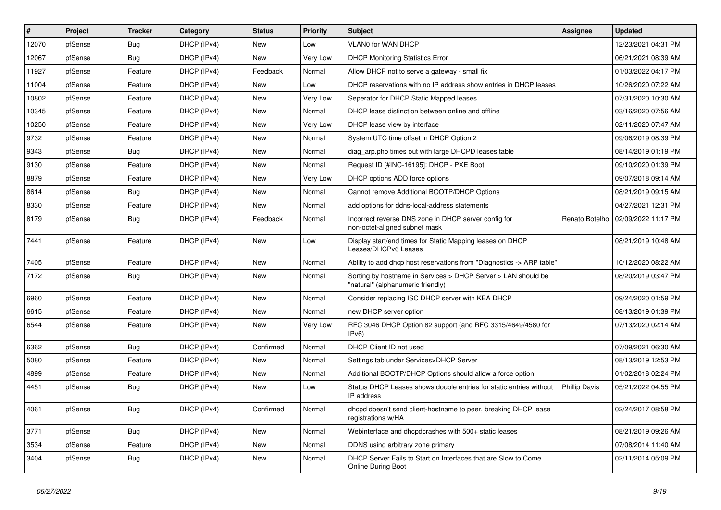| $\vert$ # | Project | <b>Tracker</b> | Category    | <b>Status</b> | <b>Priority</b> | Subject                                                                                            | <b>Assignee</b>      | <b>Updated</b>      |
|-----------|---------|----------------|-------------|---------------|-----------------|----------------------------------------------------------------------------------------------------|----------------------|---------------------|
| 12070     | pfSense | <b>Bug</b>     | DHCP (IPv4) | New           | Low             | VLAN0 for WAN DHCP                                                                                 |                      | 12/23/2021 04:31 PM |
| 12067     | pfSense | Bug            | DHCP (IPv4) | <b>New</b>    | Very Low        | <b>DHCP Monitoring Statistics Error</b>                                                            |                      | 06/21/2021 08:39 AM |
| 11927     | pfSense | Feature        | DHCP (IPv4) | Feedback      | Normal          | Allow DHCP not to serve a gateway - small fix                                                      |                      | 01/03/2022 04:17 PM |
| 11004     | pfSense | Feature        | DHCP (IPv4) | <b>New</b>    | Low             | DHCP reservations with no IP address show entries in DHCP leases                                   |                      | 10/26/2020 07:22 AM |
| 10802     | pfSense | Feature        | DHCP (IPv4) | New           | Very Low        | Seperator for DHCP Static Mapped leases                                                            |                      | 07/31/2020 10:30 AM |
| 10345     | pfSense | Feature        | DHCP (IPv4) | New           | Normal          | DHCP lease distinction between online and offline                                                  |                      | 03/16/2020 07:56 AM |
| 10250     | pfSense | Feature        | DHCP (IPv4) | New           | Very Low        | DHCP lease view by interface                                                                       |                      | 02/11/2020 07:47 AM |
| 9732      | pfSense | Feature        | DHCP (IPv4) | New           | Normal          | System UTC time offset in DHCP Option 2                                                            |                      | 09/06/2019 08:39 PM |
| 9343      | pfSense | <b>Bug</b>     | DHCP (IPv4) | New           | Normal          | diag_arp.php times out with large DHCPD leases table                                               |                      | 08/14/2019 01:19 PM |
| 9130      | pfSense | Feature        | DHCP (IPv4) | New           | Normal          | Request ID [#INC-16195]: DHCP - PXE Boot                                                           |                      | 09/10/2020 01:39 PM |
| 8879      | pfSense | Feature        | DHCP (IPv4) | New           | Very Low        | DHCP options ADD force options                                                                     |                      | 09/07/2018 09:14 AM |
| 8614      | pfSense | Bug            | DHCP (IPv4) | New           | Normal          | Cannot remove Additional BOOTP/DHCP Options                                                        |                      | 08/21/2019 09:15 AM |
| 8330      | pfSense | Feature        | DHCP (IPv4) | <b>New</b>    | Normal          | add options for ddns-local-address statements                                                      |                      | 04/27/2021 12:31 PM |
| 8179      | pfSense | <b>Bug</b>     | DHCP (IPv4) | Feedback      | Normal          | Incorrect reverse DNS zone in DHCP server config for<br>non-octet-aligned subnet mask              | Renato Botelho       | 02/09/2022 11:17 PM |
| 7441      | pfSense | Feature        | DHCP (IPv4) | New           | Low             | Display start/end times for Static Mapping leases on DHCP<br>Leases/DHCPv6 Leases                  |                      | 08/21/2019 10:48 AM |
| 7405      | pfSense | Feature        | DHCP (IPv4) | New           | Normal          | Ability to add dhcp host reservations from "Diagnostics -> ARP table"                              |                      | 10/12/2020 08:22 AM |
| 7172      | pfSense | <b>Bug</b>     | DHCP (IPv4) | New           | Normal          | Sorting by hostname in Services > DHCP Server > LAN should be<br>"natural" (alphanumeric friendly) |                      | 08/20/2019 03:47 PM |
| 6960      | pfSense | Feature        | DHCP (IPv4) | New           | Normal          | Consider replacing ISC DHCP server with KEA DHCP                                                   |                      | 09/24/2020 01:59 PM |
| 6615      | pfSense | Feature        | DHCP (IPv4) | New           | Normal          | new DHCP server option                                                                             |                      | 08/13/2019 01:39 PM |
| 6544      | pfSense | Feature        | DHCP (IPv4) | New           | Very Low        | RFC 3046 DHCP Option 82 support (and RFC 3315/4649/4580 for<br>IPv6                                |                      | 07/13/2020 02:14 AM |
| 6362      | pfSense | Bug            | DHCP (IPv4) | Confirmed     | Normal          | DHCP Client ID not used                                                                            |                      | 07/09/2021 06:30 AM |
| 5080      | pfSense | Feature        | DHCP (IPv4) | New           | Normal          | Settings tab under Services>DHCP Server                                                            |                      | 08/13/2019 12:53 PM |
| 4899      | pfSense | Feature        | DHCP (IPv4) | New           | Normal          | Additional BOOTP/DHCP Options should allow a force option                                          |                      | 01/02/2018 02:24 PM |
| 4451      | pfSense | Bug            | DHCP (IPv4) | New           | Low             | Status DHCP Leases shows double entries for static entries without<br>IP address                   | <b>Phillip Davis</b> | 05/21/2022 04:55 PM |
| 4061      | pfSense | Bug            | DHCP (IPv4) | Confirmed     | Normal          | dhcpd doesn't send client-hostname to peer, breaking DHCP lease<br>registrations w/HA              |                      | 02/24/2017 08:58 PM |
| 3771      | pfSense | <b>Bug</b>     | DHCP (IPv4) | New           | Normal          | Webinterface and dhcpdcrashes with 500+ static leases                                              |                      | 08/21/2019 09:26 AM |
| 3534      | pfSense | Feature        | DHCP (IPv4) | New           | Normal          | DDNS using arbitrary zone primary                                                                  |                      | 07/08/2014 11:40 AM |
| 3404      | pfSense | <b>Bug</b>     | DHCP (IPv4) | New           | Normal          | DHCP Server Fails to Start on Interfaces that are Slow to Come<br>Online During Boot               |                      | 02/11/2014 05:09 PM |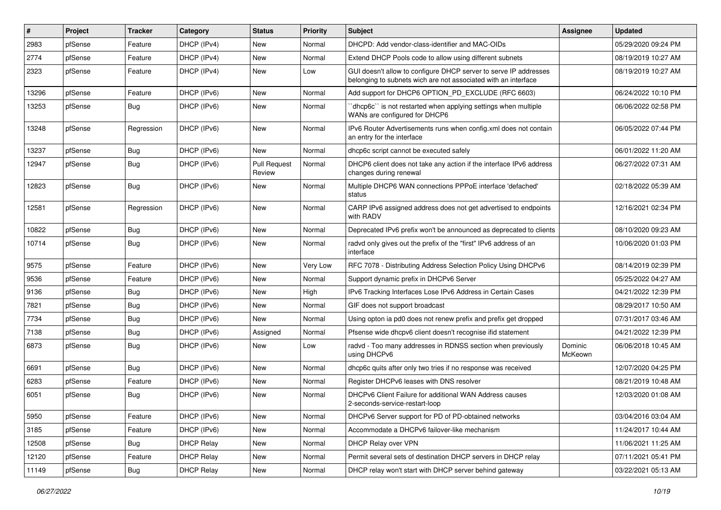| $\vert$ # | Project | <b>Tracker</b> | Category          | <b>Status</b>                 | <b>Priority</b> | Subject                                                                                                                            | <b>Assignee</b>    | <b>Updated</b>      |
|-----------|---------|----------------|-------------------|-------------------------------|-----------------|------------------------------------------------------------------------------------------------------------------------------------|--------------------|---------------------|
| 2983      | pfSense | Feature        | DHCP (IPv4)       | New                           | Normal          | DHCPD: Add vendor-class-identifier and MAC-OIDs                                                                                    |                    | 05/29/2020 09:24 PM |
| 2774      | pfSense | Feature        | DHCP (IPv4)       | <b>New</b>                    | Normal          | Extend DHCP Pools code to allow using different subnets                                                                            |                    | 08/19/2019 10:27 AM |
| 2323      | pfSense | Feature        | DHCP (IPv4)       | New                           | Low             | GUI doesn't allow to configure DHCP server to serve IP addresses<br>belonging to subnets wich are not associated with an interface |                    | 08/19/2019 10:27 AM |
| 13296     | pfSense | Feature        | DHCP (IPv6)       | <b>New</b>                    | Normal          | Add support for DHCP6 OPTION_PD_EXCLUDE (RFC 6603)                                                                                 |                    | 06/24/2022 10:10 PM |
| 13253     | pfSense | Bug            | DHCP (IPv6)       | <b>New</b>                    | Normal          | dhcp6c" is not restarted when applying settings when multiple<br>WANs are configured for DHCP6                                     |                    | 06/06/2022 02:58 PM |
| 13248     | pfSense | Regression     | DHCP (IPv6)       | <b>New</b>                    | Normal          | IPv6 Router Advertisements runs when config.xml does not contain<br>an entry for the interface                                     |                    | 06/05/2022 07:44 PM |
| 13237     | pfSense | Bug            | DHCP (IPv6)       | New                           | Normal          | dhcp6c script cannot be executed safely                                                                                            |                    | 06/01/2022 11:20 AM |
| 12947     | pfSense | Bug            | DHCP (IPv6)       | <b>Pull Request</b><br>Review | Normal          | DHCP6 client does not take any action if the interface IPv6 address<br>changes during renewal                                      |                    | 06/27/2022 07:31 AM |
| 12823     | pfSense | Bug            | DHCP (IPv6)       | <b>New</b>                    | Normal          | Multiple DHCP6 WAN connections PPPoE interface 'defached'<br>status                                                                |                    | 02/18/2022 05:39 AM |
| 12581     | pfSense | Regression     | DHCP (IPv6)       | New                           | Normal          | CARP IPv6 assigned address does not get advertised to endpoints<br>with RADV                                                       |                    | 12/16/2021 02:34 PM |
| 10822     | pfSense | Bug            | DHCP (IPv6)       | New                           | Normal          | Deprecated IPv6 prefix won't be announced as deprecated to clients                                                                 |                    | 08/10/2020 09:23 AM |
| 10714     | pfSense | Bug            | DHCP (IPv6)       | New                           | Normal          | radvd only gives out the prefix of the "first" IPv6 address of an<br>interface                                                     |                    | 10/06/2020 01:03 PM |
| 9575      | pfSense | Feature        | DHCP (IPv6)       | <b>New</b>                    | <b>Very Low</b> | RFC 7078 - Distributing Address Selection Policy Using DHCPv6                                                                      |                    | 08/14/2019 02:39 PM |
| 9536      | pfSense | Feature        | DHCP (IPv6)       | <b>New</b>                    | Normal          | Support dynamic prefix in DHCPv6 Server                                                                                            |                    | 05/25/2022 04:27 AM |
| 9136      | pfSense | Bug            | DHCP (IPv6)       | New                           | High            | IPv6 Tracking Interfaces Lose IPv6 Address in Certain Cases                                                                        |                    | 04/21/2022 12:39 PM |
| 7821      | pfSense | <b>Bug</b>     | DHCP (IPv6)       | New                           | Normal          | GIF does not support broadcast                                                                                                     |                    | 08/29/2017 10:50 AM |
| 7734      | pfSense | <b>Bug</b>     | DHCP (IPv6)       | New                           | Normal          | Using opton ia pd0 does not renew prefix and prefix get dropped                                                                    |                    | 07/31/2017 03:46 AM |
| 7138      | pfSense | <b>Bug</b>     | DHCP (IPv6)       | Assigned                      | Normal          | Pfsense wide dhcpv6 client doesn't recognise ifid statement                                                                        |                    | 04/21/2022 12:39 PM |
| 6873      | pfSense | Bug            | DHCP (IPv6)       | New                           | Low             | radvd - Too many addresses in RDNSS section when previously<br>using DHCPv6                                                        | Dominic<br>McKeown | 06/06/2018 10:45 AM |
| 6691      | pfSense | Bug            | DHCP (IPv6)       | <b>New</b>                    | Normal          | dhcp6c quits after only two tries if no response was received                                                                      |                    | 12/07/2020 04:25 PM |
| 6283      | pfSense | Feature        | DHCP (IPv6)       | <b>New</b>                    | Normal          | Register DHCPv6 leases with DNS resolver                                                                                           |                    | 08/21/2019 10:48 AM |
| 6051      | pfSense | Bug            | DHCP (IPv6)       | <b>New</b>                    | Normal          | DHCPv6 Client Failure for additional WAN Address causes<br>2-seconds-service-restart-loop                                          |                    | 12/03/2020 01:08 AM |
| 5950      | pfSense | Feature        | DHCP (IPv6)       | New                           | Normal          | DHCPv6 Server support for PD of PD-obtained networks                                                                               |                    | 03/04/2016 03:04 AM |
| 3185      | pfSense | Feature        | DHCP (IPv6)       | New                           | Normal          | Accommodate a DHCPv6 failover-like mechanism                                                                                       |                    | 11/24/2017 10:44 AM |
| 12508     | pfSense | <b>Bug</b>     | <b>DHCP Relay</b> | New                           | Normal          | DHCP Relay over VPN                                                                                                                |                    | 11/06/2021 11:25 AM |
| 12120     | pfSense | Feature        | <b>DHCP Relay</b> | New                           | Normal          | Permit several sets of destination DHCP servers in DHCP relay                                                                      |                    | 07/11/2021 05:41 PM |
| 11149     | pfSense | Bug            | <b>DHCP Relay</b> | New                           | Normal          | DHCP relay won't start with DHCP server behind gateway                                                                             |                    | 03/22/2021 05:13 AM |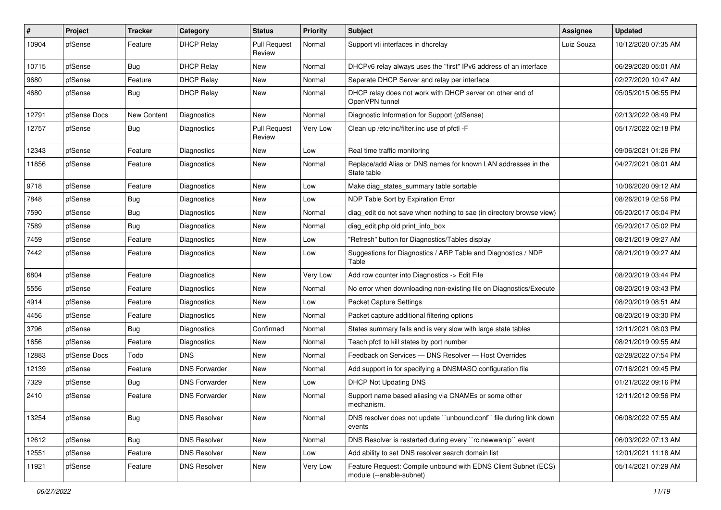| $\pmb{\#}$ | Project      | <b>Tracker</b> | Category             | <b>Status</b>                 | <b>Priority</b> | Subject                                                                                    | <b>Assignee</b> | <b>Updated</b>      |
|------------|--------------|----------------|----------------------|-------------------------------|-----------------|--------------------------------------------------------------------------------------------|-----------------|---------------------|
| 10904      | pfSense      | Feature        | <b>DHCP Relay</b>    | <b>Pull Request</b><br>Review | Normal          | Support vti interfaces in dhcrelay                                                         | Luiz Souza      | 10/12/2020 07:35 AM |
| 10715      | pfSense      | Bug            | <b>DHCP Relay</b>    | New                           | Normal          | DHCPv6 relay always uses the "first" IPv6 address of an interface                          |                 | 06/29/2020 05:01 AM |
| 9680       | pfSense      | Feature        | <b>DHCP Relay</b>    | New                           | Normal          | Seperate DHCP Server and relay per interface                                               |                 | 02/27/2020 10:47 AM |
| 4680       | pfSense      | Bug            | <b>DHCP Relay</b>    | <b>New</b>                    | Normal          | DHCP relay does not work with DHCP server on other end of<br>OpenVPN tunnel                |                 | 05/05/2015 06:55 PM |
| 12791      | pfSense Docs | New Content    | Diagnostics          | New                           | Normal          | Diagnostic Information for Support (pfSense)                                               |                 | 02/13/2022 08:49 PM |
| 12757      | pfSense      | Bug            | Diagnostics          | <b>Pull Request</b><br>Review | Very Low        | Clean up /etc/inc/filter.inc use of pfctl -F                                               |                 | 05/17/2022 02:18 PM |
| 12343      | pfSense      | Feature        | Diagnostics          | New                           | Low             | Real time traffic monitoring                                                               |                 | 09/06/2021 01:26 PM |
| 11856      | pfSense      | Feature        | Diagnostics          | New                           | Normal          | Replace/add Alias or DNS names for known LAN addresses in the<br>State table               |                 | 04/27/2021 08:01 AM |
| 9718       | pfSense      | Feature        | Diagnostics          | <b>New</b>                    | Low             | Make diag_states_summary table sortable                                                    |                 | 10/06/2020 09:12 AM |
| 7848       | pfSense      | <b>Bug</b>     | Diagnostics          | New                           | Low             | NDP Table Sort by Expiration Error                                                         |                 | 08/26/2019 02:56 PM |
| 7590       | pfSense      | <b>Bug</b>     | Diagnostics          | New                           | Normal          | diag edit do not save when nothing to sae (in directory browse view)                       |                 | 05/20/2017 05:04 PM |
| 7589       | pfSense      | Bug            | Diagnostics          | New                           | Normal          | diag_edit.php old print_info_box                                                           |                 | 05/20/2017 05:02 PM |
| 7459       | pfSense      | Feature        | Diagnostics          | New                           | Low             | "Refresh" button for Diagnostics/Tables display                                            |                 | 08/21/2019 09:27 AM |
| 7442       | pfSense      | Feature        | Diagnostics          | New                           | Low             | Suggestions for Diagnostics / ARP Table and Diagnostics / NDP<br>Table                     |                 | 08/21/2019 09:27 AM |
| 6804       | pfSense      | Feature        | Diagnostics          | New                           | Very Low        | Add row counter into Diagnostics -> Edit File                                              |                 | 08/20/2019 03:44 PM |
| 5556       | pfSense      | Feature        | <b>Diagnostics</b>   | <b>New</b>                    | Normal          | No error when downloading non-existing file on Diagnostics/Execute                         |                 | 08/20/2019 03:43 PM |
| 4914       | pfSense      | Feature        | Diagnostics          | New                           | Low             | Packet Capture Settings                                                                    |                 | 08/20/2019 08:51 AM |
| 4456       | pfSense      | Feature        | Diagnostics          | New                           | Normal          | Packet capture additional filtering options                                                |                 | 08/20/2019 03:30 PM |
| 3796       | pfSense      | Bug            | Diagnostics          | Confirmed                     | Normal          | States summary fails and is very slow with large state tables                              |                 | 12/11/2021 08:03 PM |
| 1656       | pfSense      | Feature        | Diagnostics          | New                           | Normal          | Teach pfctl to kill states by port number                                                  |                 | 08/21/2019 09:55 AM |
| 12883      | pfSense Docs | Todo           | <b>DNS</b>           | <b>New</b>                    | Normal          | Feedback on Services - DNS Resolver - Host Overrides                                       |                 | 02/28/2022 07:54 PM |
| 12139      | pfSense      | Feature        | <b>DNS Forwarder</b> | New                           | Normal          | Add support in for specifying a DNSMASQ configuration file                                 |                 | 07/16/2021 09:45 PM |
| 7329       | pfSense      | Bug            | <b>DNS Forwarder</b> | New                           | Low             | <b>DHCP Not Updating DNS</b>                                                               |                 | 01/21/2022 09:16 PM |
| 2410       | pfSense      | Feature        | <b>DNS Forwarder</b> | <b>New</b>                    | Normal          | Support name based aliasing via CNAMEs or some other<br>mechanism.                         |                 | 12/11/2012 09:56 PM |
| 13254      | pfSense      | <b>Bug</b>     | <b>DNS Resolver</b>  | New                           | Normal          | DNS resolver does not update "unbound.conf" file during link down<br>events                |                 | 06/08/2022 07:55 AM |
| 12612      | pfSense      | Bug            | <b>DNS Resolver</b>  | <b>New</b>                    | Normal          | DNS Resolver is restarted during every "rc.newwanip" event                                 |                 | 06/03/2022 07:13 AM |
| 12551      | pfSense      | Feature        | <b>DNS Resolver</b>  | New                           | Low             | Add ability to set DNS resolver search domain list                                         |                 | 12/01/2021 11:18 AM |
| 11921      | pfSense      | Feature        | <b>DNS Resolver</b>  | New                           | Very Low        | Feature Request: Compile unbound with EDNS Client Subnet (ECS)<br>module (--enable-subnet) |                 | 05/14/2021 07:29 AM |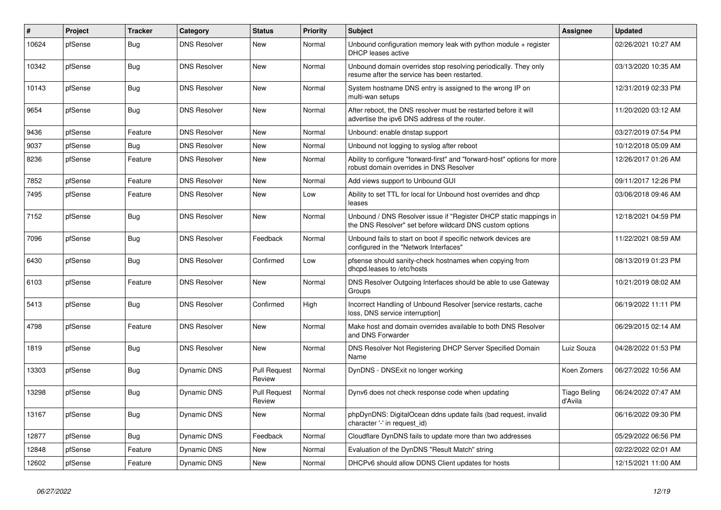| $\vert$ # | <b>Project</b> | <b>Tracker</b> | Category            | <b>Status</b>                 | Priority | <b>Subject</b>                                                                                                                | Assignee                       | <b>Updated</b>      |
|-----------|----------------|----------------|---------------------|-------------------------------|----------|-------------------------------------------------------------------------------------------------------------------------------|--------------------------------|---------------------|
| 10624     | pfSense        | Bug            | <b>DNS Resolver</b> | New                           | Normal   | Unbound configuration memory leak with python module $+$ register<br>DHCP leases active                                       |                                | 02/26/2021 10:27 AM |
| 10342     | pfSense        | Bug            | <b>DNS Resolver</b> | New                           | Normal   | Unbound domain overrides stop resolving periodically. They only<br>resume after the service has been restarted.               |                                | 03/13/2020 10:35 AM |
| 10143     | pfSense        | Bug            | <b>DNS Resolver</b> | New                           | Normal   | System hostname DNS entry is assigned to the wrong IP on<br>multi-wan setups                                                  |                                | 12/31/2019 02:33 PM |
| 9654      | pfSense        | Bug            | <b>DNS Resolver</b> | <b>New</b>                    | Normal   | After reboot, the DNS resolver must be restarted before it will<br>advertise the ipv6 DNS address of the router.              |                                | 11/20/2020 03:12 AM |
| 9436      | pfSense        | Feature        | <b>DNS Resolver</b> | New                           | Normal   | Unbound: enable dnstap support                                                                                                |                                | 03/27/2019 07:54 PM |
| 9037      | pfSense        | <b>Bug</b>     | <b>DNS Resolver</b> | <b>New</b>                    | Normal   | Unbound not logging to syslog after reboot                                                                                    |                                | 10/12/2018 05:09 AM |
| 8236      | pfSense        | Feature        | <b>DNS Resolver</b> | New                           | Normal   | Ability to configure "forward-first" and "forward-host" options for more<br>robust domain overrides in DNS Resolver           |                                | 12/26/2017 01:26 AM |
| 7852      | pfSense        | Feature        | <b>DNS Resolver</b> | New                           | Normal   | Add views support to Unbound GUI                                                                                              |                                | 09/11/2017 12:26 PM |
| 7495      | pfSense        | Feature        | <b>DNS Resolver</b> | New                           | Low      | Ability to set TTL for local for Unbound host overrides and dhcp<br>leases                                                    |                                | 03/06/2018 09:46 AM |
| 7152      | pfSense        | <b>Bug</b>     | <b>DNS Resolver</b> | <b>New</b>                    | Normal   | Unbound / DNS Resolver issue if "Register DHCP static mappings in<br>the DNS Resolver" set before wildcard DNS custom options |                                | 12/18/2021 04:59 PM |
| 7096      | pfSense        | Bug            | <b>DNS Resolver</b> | Feedback                      | Normal   | Unbound fails to start on boot if specific network devices are<br>configured in the "Network Interfaces"                      |                                | 11/22/2021 08:59 AM |
| 6430      | pfSense        | Bug            | <b>DNS Resolver</b> | Confirmed                     | Low      | pfsense should sanity-check hostnames when copying from<br>dhcpd.leases to /etc/hosts                                         |                                | 08/13/2019 01:23 PM |
| 6103      | pfSense        | Feature        | <b>DNS Resolver</b> | <b>New</b>                    | Normal   | DNS Resolver Outgoing Interfaces should be able to use Gateway<br>Groups                                                      |                                | 10/21/2019 08:02 AM |
| 5413      | pfSense        | Bug            | <b>DNS Resolver</b> | Confirmed                     | High     | Incorrect Handling of Unbound Resolver [service restarts, cache<br>loss, DNS service interruption]                            |                                | 06/19/2022 11:11 PM |
| 4798      | pfSense        | Feature        | <b>DNS Resolver</b> | <b>New</b>                    | Normal   | Make host and domain overrides available to both DNS Resolver<br>and DNS Forwarder                                            |                                | 06/29/2015 02:14 AM |
| 1819      | pfSense        | Bug            | <b>DNS Resolver</b> | New                           | Normal   | DNS Resolver Not Registering DHCP Server Specified Domain<br>Name                                                             | Luiz Souza                     | 04/28/2022 01:53 PM |
| 13303     | pfSense        | Bug            | Dynamic DNS         | <b>Pull Request</b><br>Review | Normal   | DynDNS - DNSExit no longer working                                                                                            | Koen Zomers                    | 06/27/2022 10:56 AM |
| 13298     | pfSense        | Bug            | Dynamic DNS         | <b>Pull Request</b><br>Review | Normal   | Dynv6 does not check response code when updating                                                                              | <b>Tiago Beling</b><br>d'Avila | 06/24/2022 07:47 AM |
| 13167     | pfSense        | Bug            | Dynamic DNS         | <b>New</b>                    | Normal   | phpDynDNS: DigitalOcean ddns update fails (bad request, invalid<br>character '-' in request id)                               |                                | 06/16/2022 09:30 PM |
| 12877     | pfSense        | Bug            | Dynamic DNS         | Feedback                      | Normal   | Cloudflare DynDNS fails to update more than two addresses                                                                     |                                | 05/29/2022 06:56 PM |
| 12848     | pfSense        | Feature        | Dynamic DNS         | <b>New</b>                    | Normal   | Evaluation of the DynDNS "Result Match" string                                                                                |                                | 02/22/2022 02:01 AM |
| 12602     | pfSense        | Feature        | Dynamic DNS         | New                           | Normal   | DHCPv6 should allow DDNS Client updates for hosts                                                                             |                                | 12/15/2021 11:00 AM |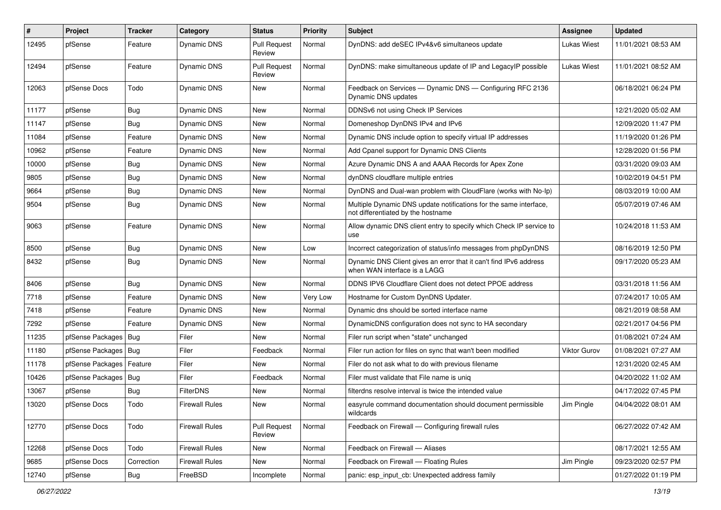| #     | Project                | Tracker    | Category              | <b>Status</b>                 | <b>Priority</b> | <b>Subject</b>                                                                                          | <b>Assignee</b> | <b>Updated</b>      |
|-------|------------------------|------------|-----------------------|-------------------------------|-----------------|---------------------------------------------------------------------------------------------------------|-----------------|---------------------|
| 12495 | pfSense                | Feature    | Dynamic DNS           | <b>Pull Request</b><br>Review | Normal          | DynDNS: add deSEC IPv4&v6 simultaneos update                                                            | Lukas Wiest     | 11/01/2021 08:53 AM |
| 12494 | pfSense                | Feature    | Dynamic DNS           | <b>Pull Request</b><br>Review | Normal          | DynDNS: make simultaneous update of IP and LegacyIP possible                                            | Lukas Wiest     | 11/01/2021 08:52 AM |
| 12063 | pfSense Docs           | Todo       | Dynamic DNS           | <b>New</b>                    | Normal          | Feedback on Services - Dynamic DNS - Configuring RFC 2136<br>Dynamic DNS updates                        |                 | 06/18/2021 06:24 PM |
| 11177 | pfSense                | <b>Bug</b> | Dynamic DNS           | New                           | Normal          | DDNSv6 not using Check IP Services                                                                      |                 | 12/21/2020 05:02 AM |
| 11147 | pfSense                | <b>Bug</b> | Dynamic DNS           | New                           | Normal          | Domeneshop DynDNS IPv4 and IPv6                                                                         |                 | 12/09/2020 11:47 PM |
| 11084 | pfSense                | Feature    | Dynamic DNS           | New                           | Normal          | Dynamic DNS include option to specify virtual IP addresses                                              |                 | 11/19/2020 01:26 PM |
| 10962 | pfSense                | Feature    | Dynamic DNS           | New                           | Normal          | Add Cpanel support for Dynamic DNS Clients                                                              |                 | 12/28/2020 01:56 PM |
| 10000 | pfSense                | <b>Bug</b> | Dynamic DNS           | New                           | Normal          | Azure Dynamic DNS A and AAAA Records for Apex Zone                                                      |                 | 03/31/2020 09:03 AM |
| 9805  | pfSense                | Bug        | Dynamic DNS           | New                           | Normal          | dynDNS cloudflare multiple entries                                                                      |                 | 10/02/2019 04:51 PM |
| 9664  | pfSense                | <b>Bug</b> | Dynamic DNS           | <b>New</b>                    | Normal          | DynDNS and Dual-wan problem with CloudFlare (works with No-Ip)                                          |                 | 08/03/2019 10:00 AM |
| 9504  | pfSense                | <b>Bug</b> | <b>Dynamic DNS</b>    | New                           | Normal          | Multiple Dynamic DNS update notifications for the same interface,<br>not differentiated by the hostname |                 | 05/07/2019 07:46 AM |
| 9063  | pfSense                | Feature    | Dynamic DNS           | New                           | Normal          | Allow dynamic DNS client entry to specify which Check IP service to<br>use                              |                 | 10/24/2018 11:53 AM |
| 8500  | pfSense                | <b>Bug</b> | Dynamic DNS           | <b>New</b>                    | Low             | Incorrect categorization of status/info messages from phpDynDNS                                         |                 | 08/16/2019 12:50 PM |
| 8432  | pfSense                | <b>Bug</b> | <b>Dynamic DNS</b>    | New                           | Normal          | Dynamic DNS Client gives an error that it can't find IPv6 address<br>when WAN interface is a LAGG       |                 | 09/17/2020 05:23 AM |
| 8406  | pfSense                | <b>Bug</b> | Dynamic DNS           | <b>New</b>                    | Normal          | DDNS IPV6 Cloudflare Client does not detect PPOE address                                                |                 | 03/31/2018 11:56 AM |
| 7718  | pfSense                | Feature    | Dynamic DNS           | New                           | Very Low        | Hostname for Custom DynDNS Updater.                                                                     |                 | 07/24/2017 10:05 AM |
| 7418  | pfSense                | Feature    | Dynamic DNS           | New                           | Normal          | Dynamic dns should be sorted interface name                                                             |                 | 08/21/2019 08:58 AM |
| 7292  | pfSense                | Feature    | Dynamic DNS           | New                           | Normal          | DynamicDNS configuration does not sync to HA secondary                                                  |                 | 02/21/2017 04:56 PM |
| 11235 | pfSense Packages   Bug |            | Filer                 | <b>New</b>                    | Normal          | Filer run script when "state" unchanged                                                                 |                 | 01/08/2021 07:24 AM |
| 11180 | pfSense Packages   Bug |            | Filer                 | Feedback                      | Normal          | Filer run action for files on sync that wan't been modified                                             | Viktor Gurov    | 01/08/2021 07:27 AM |
| 11178 | pfSense Packages       | Feature    | Filer                 | <b>New</b>                    | Normal          | Filer do not ask what to do with previous filename                                                      |                 | 12/31/2020 02:45 AM |
| 10426 | pfSense Packages   Bug |            | Filer                 | Feedback                      | Normal          | Filer must validate that File name is uniq                                                              |                 | 04/20/2022 11:02 AM |
| 13067 | pfSense                | <b>Bug</b> | <b>FilterDNS</b>      | <b>New</b>                    | Normal          | filterdns resolve interval is twice the intended value                                                  |                 | 04/17/2022 07:45 PM |
| 13020 | pfSense Docs           | Todo       | <b>Firewall Rules</b> | New                           | Normal          | easyrule command documentation should document permissible<br>wildcards                                 | Jim Pingle      | 04/04/2022 08:01 AM |
| 12770 | pfSense Docs           | Todo       | <b>Firewall Rules</b> | <b>Pull Request</b><br>Review | Normal          | Feedback on Firewall - Configuring firewall rules                                                       |                 | 06/27/2022 07:42 AM |
| 12268 | pfSense Docs           | Todo       | <b>Firewall Rules</b> | New                           | Normal          | Feedback on Firewall - Aliases                                                                          |                 | 08/17/2021 12:55 AM |
| 9685  | pfSense Docs           | Correction | <b>Firewall Rules</b> | New                           | Normal          | Feedback on Firewall - Floating Rules                                                                   | Jim Pingle      | 09/23/2020 02:57 PM |
| 12740 | pfSense                | Bug        | FreeBSD               | Incomplete                    | Normal          | panic: esp input cb: Unexpected address family                                                          |                 | 01/27/2022 01:19 PM |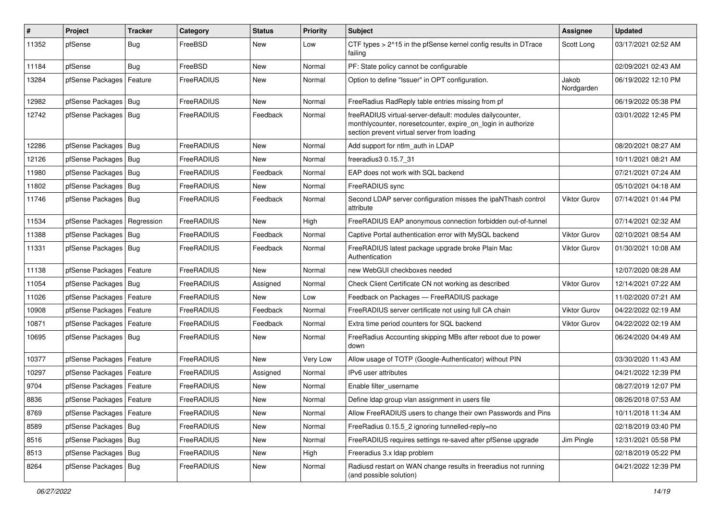| $\vert$ # | Project                    | <b>Tracker</b> | Category   | <b>Status</b> | <b>Priority</b> | <b>Subject</b>                                                                                                                                                          | <b>Assignee</b>     | <b>Updated</b>      |
|-----------|----------------------------|----------------|------------|---------------|-----------------|-------------------------------------------------------------------------------------------------------------------------------------------------------------------------|---------------------|---------------------|
| 11352     | pfSense                    | Bug            | FreeBSD    | New           | Low             | CTF types > 2^15 in the pfSense kernel config results in DTrace<br>failing                                                                                              | Scott Long          | 03/17/2021 02:52 AM |
| 11184     | pfSense                    | Bug            | FreeBSD    | New           | Normal          | PF: State policy cannot be configurable                                                                                                                                 |                     | 02/09/2021 02:43 AM |
| 13284     | pfSense Packages           | Feature        | FreeRADIUS | New           | Normal          | Option to define "Issuer" in OPT configuration.                                                                                                                         | Jakob<br>Nordgarden | 06/19/2022 12:10 PM |
| 12982     | pfSense Packages           | Bug            | FreeRADIUS | <b>New</b>    | Normal          | FreeRadius RadReply table entries missing from pf                                                                                                                       |                     | 06/19/2022 05:38 PM |
| 12742     | pfSense Packages   Bug     |                | FreeRADIUS | Feedback      | Normal          | freeRADIUS virtual-server-default: modules dailycounter,<br>monthlycounter, noresetcounter, expire_on_login in authorize<br>section prevent virtual server from loading |                     | 03/01/2022 12:45 PM |
| 12286     | pfSense Packages   Bug     |                | FreeRADIUS | New           | Normal          | Add support for ntlm auth in LDAP                                                                                                                                       |                     | 08/20/2021 08:27 AM |
| 12126     | pfSense Packages           | Bug            | FreeRADIUS | <b>New</b>    | Normal          | freeradius3 0.15.7 31                                                                                                                                                   |                     | 10/11/2021 08:21 AM |
| 11980     | pfSense Packages           | Bug            | FreeRADIUS | Feedback      | Normal          | EAP does not work with SQL backend                                                                                                                                      |                     | 07/21/2021 07:24 AM |
| 11802     | pfSense Packages           | Bug            | FreeRADIUS | New           | Normal          | FreeRADIUS sync                                                                                                                                                         |                     | 05/10/2021 04:18 AM |
| 11746     | pfSense Packages           | Bug            | FreeRADIUS | Feedback      | Normal          | Second LDAP server configuration misses the ipaNThash control<br>attribute                                                                                              | <b>Viktor Gurov</b> | 07/14/2021 01:44 PM |
| 11534     | pfSense Packages           | Regression     | FreeRADIUS | <b>New</b>    | High            | FreeRADIUS EAP anonymous connection forbidden out-of-tunnel                                                                                                             |                     | 07/14/2021 02:32 AM |
| 11388     | pfSense Packages           | Bug            | FreeRADIUS | Feedback      | Normal          | Captive Portal authentication error with MySQL backend                                                                                                                  | <b>Viktor Gurov</b> | 02/10/2021 08:54 AM |
| 11331     | pfSense Packages   Bug     |                | FreeRADIUS | Feedback      | Normal          | FreeRADIUS latest package upgrade broke Plain Mac<br>Authentication                                                                                                     | <b>Viktor Gurov</b> | 01/30/2021 10:08 AM |
| 11138     | pfSense Packages           | Feature        | FreeRADIUS | <b>New</b>    | Normal          | new WebGUI checkboxes needed                                                                                                                                            |                     | 12/07/2020 08:28 AM |
| 11054     | pfSense Packages           | Bug            | FreeRADIUS | Assigned      | Normal          | Check Client Certificate CN not working as described                                                                                                                    | <b>Viktor Gurov</b> | 12/14/2021 07:22 AM |
| 11026     | pfSense Packages           | Feature        | FreeRADIUS | New           | Low             | Feedback on Packages - FreeRADIUS package                                                                                                                               |                     | 11/02/2020 07:21 AM |
| 10908     | pfSense Packages           | Feature        | FreeRADIUS | Feedback      | Normal          | FreeRADIUS server certificate not using full CA chain                                                                                                                   | <b>Viktor Gurov</b> | 04/22/2022 02:19 AM |
| 10871     | pfSense Packages           | Feature        | FreeRADIUS | Feedback      | Normal          | Extra time period counters for SQL backend                                                                                                                              | <b>Viktor Gurov</b> | 04/22/2022 02:19 AM |
| 10695     | pfSense Packages   Bug     |                | FreeRADIUS | New           | Normal          | FreeRadius Accounting skipping MBs after reboot due to power<br>down                                                                                                    |                     | 06/24/2020 04:49 AM |
| 10377     | pfSense Packages           | Feature        | FreeRADIUS | New           | Very Low        | Allow usage of TOTP (Google-Authenticator) without PIN                                                                                                                  |                     | 03/30/2020 11:43 AM |
| 10297     | pfSense Packages           | Feature        | FreeRADIUS | Assigned      | Normal          | IPv6 user attributes                                                                                                                                                    |                     | 04/21/2022 12:39 PM |
| 9704      | pfSense Packages           | Feature        | FreeRADIUS | New           | Normal          | Enable filter username                                                                                                                                                  |                     | 08/27/2019 12:07 PM |
| 8836      | pfSense Packages   Feature |                | FreeRADIUS | <b>New</b>    | Normal          | Define Idap group vlan assignment in users file                                                                                                                         |                     | 08/26/2018 07:53 AM |
| 8769      | pfSense Packages   Feature |                | FreeRADIUS | New           | Normal          | Allow FreeRADIUS users to change their own Passwords and Pins                                                                                                           |                     | 10/11/2018 11:34 AM |
| 8589      | pfSense Packages           | Bug            | FreeRADIUS | New           | Normal          | FreeRadius 0.15.5_2 ignoring tunnelled-reply=no                                                                                                                         |                     | 02/18/2019 03:40 PM |
| 8516      | pfSense Packages   Bug     |                | FreeRADIUS | New           | Normal          | FreeRADIUS requires settings re-saved after pfSense upgrade                                                                                                             | Jim Pingle          | 12/31/2021 05:58 PM |
| 8513      | pfSense Packages           | Bug            | FreeRADIUS | New           | High            | Freeradius 3.x Idap problem                                                                                                                                             |                     | 02/18/2019 05:22 PM |
| 8264      | pfSense Packages   Bug     |                | FreeRADIUS | New           | Normal          | Radiusd restart on WAN change results in freeradius not running<br>(and possible solution)                                                                              |                     | 04/21/2022 12:39 PM |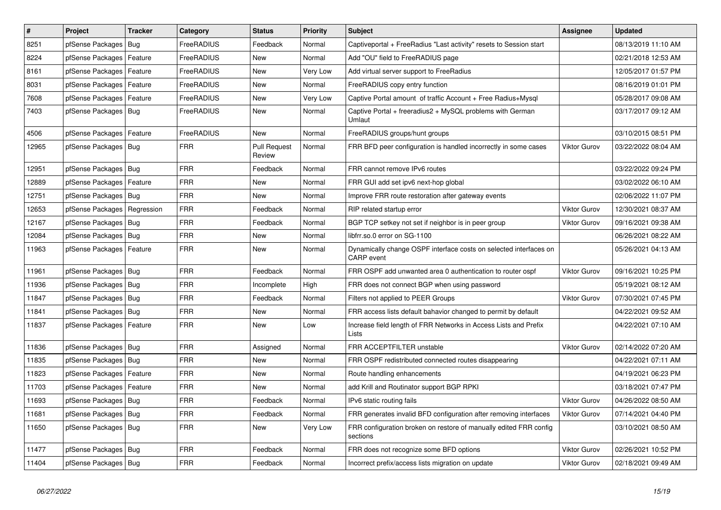| $\vert$ # | Project                    | <b>Tracker</b> | Category   | <b>Status</b>                 | <b>Priority</b> | <b>Subject</b>                                                                         | <b>Assignee</b>     | <b>Updated</b>      |
|-----------|----------------------------|----------------|------------|-------------------------------|-----------------|----------------------------------------------------------------------------------------|---------------------|---------------------|
| 8251      | pfSense Packages           | <b>Bug</b>     | FreeRADIUS | Feedback                      | Normal          | Captiveportal + FreeRadius "Last activity" resets to Session start                     |                     | 08/13/2019 11:10 AM |
| 8224      | pfSense Packages           | Feature        | FreeRADIUS | New                           | Normal          | Add "OU" field to FreeRADIUS page                                                      |                     | 02/21/2018 12:53 AM |
| 8161      | pfSense Packages           | Feature        | FreeRADIUS | <b>New</b>                    | Very Low        | Add virtual server support to FreeRadius                                               |                     | 12/05/2017 01:57 PM |
| 8031      | pfSense Packages           | Feature        | FreeRADIUS | <b>New</b>                    | Normal          | FreeRADIUS copy entry function                                                         |                     | 08/16/2019 01:01 PM |
| 7608      | pfSense Packages           | Feature        | FreeRADIUS | <b>New</b>                    | Very Low        | Captive Portal amount of traffic Account + Free Radius+Mysql                           |                     | 05/28/2017 09:08 AM |
| 7403      | pfSense Packages   Bug     |                | FreeRADIUS | New                           | Normal          | Captive Portal + freeradius2 + MySQL problems with German<br>Umlaut                    |                     | 03/17/2017 09:12 AM |
| 4506      | pfSense Packages           | Feature        | FreeRADIUS | New                           | Normal          | FreeRADIUS groups/hunt groups                                                          |                     | 03/10/2015 08:51 PM |
| 12965     | pfSense Packages   Bug     |                | <b>FRR</b> | <b>Pull Request</b><br>Review | Normal          | FRR BFD peer configuration is handled incorrectly in some cases                        | <b>Viktor Gurov</b> | 03/22/2022 08:04 AM |
| 12951     | pfSense Packages           | Bug            | <b>FRR</b> | Feedback                      | Normal          | FRR cannot remove IPv6 routes                                                          |                     | 03/22/2022 09:24 PM |
| 12889     | pfSense Packages   Feature |                | <b>FRR</b> | New                           | Normal          | FRR GUI add set ipv6 next-hop global                                                   |                     | 03/02/2022 06:10 AM |
| 12751     | pfSense Packages   Bug     |                | <b>FRR</b> | New                           | Normal          | Improve FRR route restoration after gateway events                                     |                     | 02/06/2022 11:07 PM |
| 12653     | pfSense Packages           | Regression     | <b>FRR</b> | Feedback                      | Normal          | RIP related startup error                                                              | <b>Viktor Gurov</b> | 12/30/2021 08:37 AM |
| 12167     | pfSense Packages           | Bug            | <b>FRR</b> | Feedback                      | Normal          | BGP TCP setkey not set if neighbor is in peer group                                    | <b>Viktor Gurov</b> | 09/16/2021 09:38 AM |
| 12084     | pfSense Packages   Bug     |                | <b>FRR</b> | New                           | Normal          | libfrr.so.0 error on SG-1100                                                           |                     | 06/26/2021 08:22 AM |
| 11963     | pfSense Packages   Feature |                | <b>FRR</b> | New                           | Normal          | Dynamically change OSPF interface costs on selected interfaces on<br><b>CARP</b> event |                     | 05/26/2021 04:13 AM |
| 11961     | pfSense Packages   Bug     |                | <b>FRR</b> | Feedback                      | Normal          | FRR OSPF add unwanted area 0 authentication to router ospf                             | <b>Viktor Gurov</b> | 09/16/2021 10:25 PM |
| 11936     | pfSense Packages   Bug     |                | <b>FRR</b> | Incomplete                    | High            | FRR does not connect BGP when using password                                           |                     | 05/19/2021 08:12 AM |
| 11847     | pfSense Packages   Bug     |                | <b>FRR</b> | Feedback                      | Normal          | Filters not applied to PEER Groups                                                     | <b>Viktor Gurov</b> | 07/30/2021 07:45 PM |
| 11841     | pfSense Packages           | Bug            | <b>FRR</b> | New                           | Normal          | FRR access lists default bahavior changed to permit by default                         |                     | 04/22/2021 09:52 AM |
| 11837     | pfSense Packages   Feature |                | <b>FRR</b> | New                           | Low             | Increase field length of FRR Networks in Access Lists and Prefix<br>Lists              |                     | 04/22/2021 07:10 AM |
| 11836     | pfSense Packages   Bug     |                | <b>FRR</b> | Assigned                      | Normal          | FRR ACCEPTFILTER unstable                                                              | <b>Viktor Gurov</b> | 02/14/2022 07:20 AM |
| 11835     | pfSense Packages   Bug     |                | <b>FRR</b> | <b>New</b>                    | Normal          | FRR OSPF redistributed connected routes disappearing                                   |                     | 04/22/2021 07:11 AM |
| 11823     | pfSense Packages   Feature |                | <b>FRR</b> | <b>New</b>                    | Normal          | Route handling enhancements                                                            |                     | 04/19/2021 06:23 PM |
| 11703     | pfSense Packages   Feature |                | <b>FRR</b> | <b>New</b>                    | Normal          | add Krill and Routinator support BGP RPKI                                              |                     | 03/18/2021 07:47 PM |
| 11693     | pfSense Packages   Bug     |                | <b>FRR</b> | Feedback                      | Normal          | IPv6 static routing fails                                                              | <b>Viktor Gurov</b> | 04/26/2022 08:50 AM |
| 11681     | pfSense Packages   Bug     |                | <b>FRR</b> | Feedback                      | Normal          | FRR generates invalid BFD configuration after removing interfaces                      | <b>Viktor Gurov</b> | 07/14/2021 04:40 PM |
| 11650     | pfSense Packages   Bug     |                | <b>FRR</b> | New                           | Very Low        | FRR configuration broken on restore of manually edited FRR config<br>sections          |                     | 03/10/2021 08:50 AM |
| 11477     | pfSense Packages   Bug     |                | <b>FRR</b> | Feedback                      | Normal          | FRR does not recognize some BFD options                                                | <b>Viktor Gurov</b> | 02/26/2021 10:52 PM |
| 11404     | pfSense Packages   Bug     |                | <b>FRR</b> | Feedback                      | Normal          | Incorrect prefix/access lists migration on update                                      | <b>Viktor Gurov</b> | 02/18/2021 09:49 AM |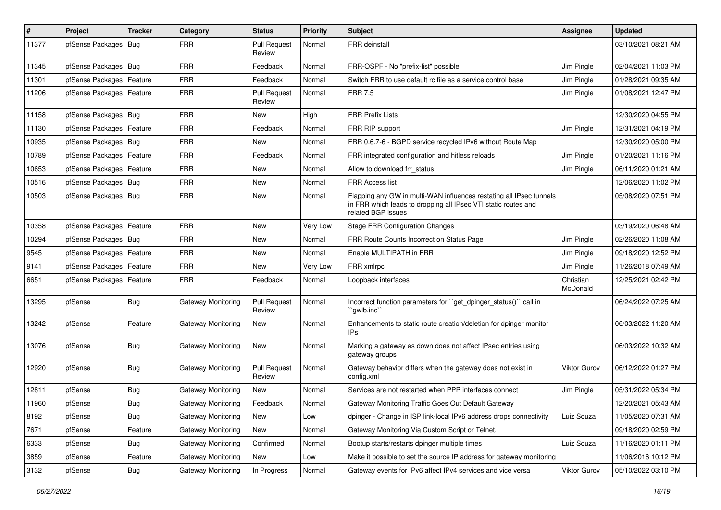| ∦     | Project                | <b>Tracker</b> | Category                  | <b>Status</b>                 | <b>Priority</b> | Subject                                                                                                                                                     | <b>Assignee</b>       | <b>Updated</b>      |
|-------|------------------------|----------------|---------------------------|-------------------------------|-----------------|-------------------------------------------------------------------------------------------------------------------------------------------------------------|-----------------------|---------------------|
| 11377 | pfSense Packages       | <b>Bug</b>     | <b>FRR</b>                | <b>Pull Request</b><br>Review | Normal          | FRR deinstall                                                                                                                                               |                       | 03/10/2021 08:21 AM |
| 11345 | pfSense Packages       | Bug            | <b>FRR</b>                | Feedback                      | Normal          | FRR-OSPF - No "prefix-list" possible                                                                                                                        | Jim Pingle            | 02/04/2021 11:03 PM |
| 11301 | pfSense Packages       | Feature        | <b>FRR</b>                | Feedback                      | Normal          | Switch FRR to use default rc file as a service control base                                                                                                 | Jim Pingle            | 01/28/2021 09:35 AM |
| 11206 | pfSense Packages       | Feature        | FRR                       | <b>Pull Request</b><br>Review | Normal          | <b>FRR 7.5</b>                                                                                                                                              | Jim Pingle            | 01/08/2021 12:47 PM |
| 11158 | pfSense Packages       | Bug            | <b>FRR</b>                | New                           | High            | <b>FRR Prefix Lists</b>                                                                                                                                     |                       | 12/30/2020 04:55 PM |
| 11130 | pfSense Packages       | Feature        | <b>FRR</b>                | Feedback                      | Normal          | FRR RIP support                                                                                                                                             | Jim Pingle            | 12/31/2021 04:19 PM |
| 10935 | pfSense Packages       | Bug            | <b>FRR</b>                | New                           | Normal          | FRR 0.6.7-6 - BGPD service recycled IPv6 without Route Map                                                                                                  |                       | 12/30/2020 05:00 PM |
| 10789 | pfSense Packages       | Feature        | <b>FRR</b>                | Feedback                      | Normal          | FRR integrated configuration and hitless reloads                                                                                                            | Jim Pingle            | 01/20/2021 11:16 PM |
| 10653 | pfSense Packages       | Feature        | <b>FRR</b>                | New                           | Normal          | Allow to download frr status                                                                                                                                | Jim Pingle            | 06/11/2020 01:21 AM |
| 10516 | pfSense Packages   Bug |                | <b>FRR</b>                | New                           | Normal          | <b>FRR Access list</b>                                                                                                                                      |                       | 12/06/2020 11:02 PM |
| 10503 | pfSense Packages       | Bug            | <b>FRR</b>                | New                           | Normal          | Flapping any GW in multi-WAN influences restating all IPsec tunnels<br>in FRR which leads to dropping all IPsec VTI static routes and<br>related BGP issues |                       | 05/08/2020 07:51 PM |
| 10358 | pfSense Packages       | Feature        | <b>FRR</b>                | New                           | Very Low        | <b>Stage FRR Configuration Changes</b>                                                                                                                      |                       | 03/19/2020 06:48 AM |
| 10294 | pfSense Packages       | Bug            | <b>FRR</b>                | New                           | Normal          | FRR Route Counts Incorrect on Status Page                                                                                                                   | Jim Pingle            | 02/26/2020 11:08 AM |
| 9545  | pfSense Packages       | Feature        | <b>FRR</b>                | New                           | Normal          | Enable MULTIPATH in FRR                                                                                                                                     | Jim Pingle            | 09/18/2020 12:52 PM |
| 9141  | pfSense Packages       | Feature        | <b>FRR</b>                | New                           | Very Low        | FRR xmlrpc                                                                                                                                                  | Jim Pingle            | 11/26/2018 07:49 AM |
| 6651  | pfSense Packages       | Feature        | <b>FRR</b>                | Feedback                      | Normal          | Loopback interfaces                                                                                                                                         | Christian<br>McDonald | 12/25/2021 02:42 PM |
| 13295 | pfSense                | Bug            | Gateway Monitoring        | <b>Pull Request</b><br>Review | Normal          | Incorrect function parameters for "get dpinger status()" call in<br>`gwlb.inc``                                                                             |                       | 06/24/2022 07:25 AM |
| 13242 | pfSense                | Feature        | Gateway Monitoring        | New                           | Normal          | Enhancements to static route creation/deletion for dpinger monitor<br>IPs                                                                                   |                       | 06/03/2022 11:20 AM |
| 13076 | pfSense                | Bug            | <b>Gateway Monitoring</b> | <b>New</b>                    | Normal          | Marking a gateway as down does not affect IPsec entries using<br>gateway groups                                                                             |                       | 06/03/2022 10:32 AM |
| 12920 | pfSense                | Bug            | Gateway Monitoring        | <b>Pull Request</b><br>Review | Normal          | Gateway behavior differs when the gateway does not exist in<br>config.xml                                                                                   | Viktor Gurov          | 06/12/2022 01:27 PM |
| 12811 | pfSense                | <b>Bug</b>     | Gateway Monitoring        | New                           | Normal          | Services are not restarted when PPP interfaces connect                                                                                                      | Jim Pingle            | 05/31/2022 05:34 PM |
| 11960 | pfSense                | Bug            | Gateway Monitoring        | Feedback                      | Normal          | Gateway Monitoring Traffic Goes Out Default Gateway                                                                                                         |                       | 12/20/2021 05:43 AM |
| 8192  | pfSense                | <b>Bug</b>     | Gateway Monitoring        | New                           | Low             | dpinger - Change in ISP link-local IPv6 address drops connectivity                                                                                          | Luiz Souza            | 11/05/2020 07:31 AM |
| 7671  | pfSense                | Feature        | Gateway Monitoring        | New                           | Normal          | Gateway Monitoring Via Custom Script or Telnet.                                                                                                             |                       | 09/18/2020 02:59 PM |
| 6333  | pfSense                | <b>Bug</b>     | Gateway Monitoring        | Confirmed                     | Normal          | Bootup starts/restarts dpinger multiple times                                                                                                               | Luiz Souza            | 11/16/2020 01:11 PM |
| 3859  | pfSense                | Feature        | <b>Gateway Monitoring</b> | New                           | Low             | Make it possible to set the source IP address for gateway monitoring                                                                                        |                       | 11/06/2016 10:12 PM |
| 3132  | pfSense                | <b>Bug</b>     | Gateway Monitoring        | In Progress                   | Normal          | Gateway events for IPv6 affect IPv4 services and vice versa                                                                                                 | Viktor Gurov          | 05/10/2022 03:10 PM |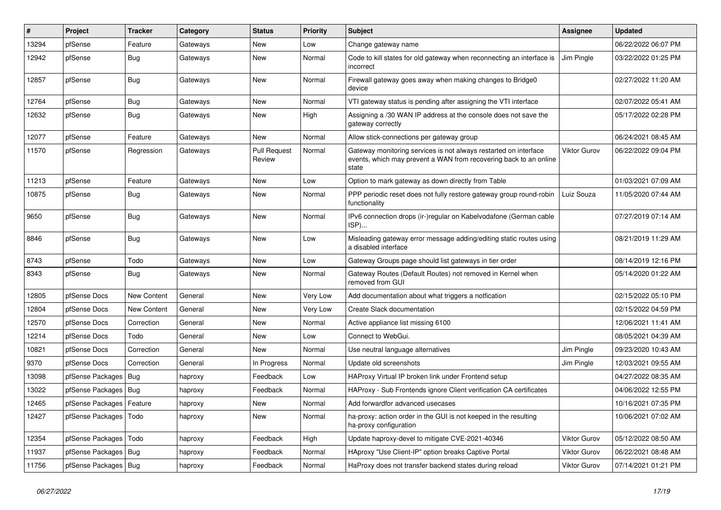| #     | Project                | <b>Tracker</b> | Category | <b>Status</b>                 | <b>Priority</b> | <b>Subject</b>                                                                                                                                 | <b>Assignee</b>     | <b>Updated</b>      |
|-------|------------------------|----------------|----------|-------------------------------|-----------------|------------------------------------------------------------------------------------------------------------------------------------------------|---------------------|---------------------|
| 13294 | pfSense                | Feature        | Gateways | <b>New</b>                    | Low             | Change gateway name                                                                                                                            |                     | 06/22/2022 06:07 PM |
| 12942 | pfSense                | Bug            | Gateways | <b>New</b>                    | Normal          | Code to kill states for old gateway when reconnecting an interface is<br>incorrect                                                             | Jim Pingle          | 03/22/2022 01:25 PM |
| 12857 | pfSense                | Bug            | Gateways | <b>New</b>                    | Normal          | Firewall gateway goes away when making changes to Bridge0<br>device                                                                            |                     | 02/27/2022 11:20 AM |
| 12764 | pfSense                | <b>Bug</b>     | Gateways | <b>New</b>                    | Normal          | VTI gateway status is pending after assigning the VTI interface                                                                                |                     | 02/07/2022 05:41 AM |
| 12632 | pfSense                | <b>Bug</b>     | Gateways | New                           | High            | Assigning a /30 WAN IP address at the console does not save the<br>gateway correctly                                                           |                     | 05/17/2022 02:28 PM |
| 12077 | pfSense                | Feature        | Gateways | <b>New</b>                    | Normal          | Allow stick-connections per gateway group                                                                                                      |                     | 06/24/2021 08:45 AM |
| 11570 | pfSense                | Regression     | Gateways | <b>Pull Request</b><br>Review | Normal          | Gateway monitoring services is not always restarted on interface<br>events, which may prevent a WAN from recovering back to an online<br>state | <b>Viktor Gurov</b> | 06/22/2022 09:04 PM |
| 11213 | pfSense                | Feature        | Gateways | <b>New</b>                    | Low             | Option to mark gateway as down directly from Table                                                                                             |                     | 01/03/2021 07:09 AM |
| 10875 | pfSense                | <b>Bug</b>     | Gateways | <b>New</b>                    | Normal          | PPP periodic reset does not fully restore gateway group round-robin<br>functionality                                                           | Luiz Souza          | 11/05/2020 07:44 AM |
| 9650  | pfSense                | Bug            | Gateways | New                           | Normal          | IPv6 connection drops (ir-)regular on Kabelvodafone (German cable<br>ISP)                                                                      |                     | 07/27/2019 07:14 AM |
| 8846  | pfSense                | Bug            | Gateways | New                           | Low             | Misleading gateway error message adding/editing static routes using<br>a disabled interface                                                    |                     | 08/21/2019 11:29 AM |
| 8743  | pfSense                | Todo           | Gateways | <b>New</b>                    | Low             | Gateway Groups page should list gateways in tier order                                                                                         |                     | 08/14/2019 12:16 PM |
| 8343  | pfSense                | Bug            | Gateways | <b>New</b>                    | Normal          | Gateway Routes (Default Routes) not removed in Kernel when<br>removed from GUI                                                                 |                     | 05/14/2020 01:22 AM |
| 12805 | pfSense Docs           | New Content    | General  | New                           | Very Low        | Add documentation about what triggers a notfication                                                                                            |                     | 02/15/2022 05:10 PM |
| 12804 | pfSense Docs           | New Content    | General  | New                           | Very Low        | Create Slack documentation                                                                                                                     |                     | 02/15/2022 04:59 PM |
| 12570 | pfSense Docs           | Correction     | General  | <b>New</b>                    | Normal          | Active appliance list missing 6100                                                                                                             |                     | 12/06/2021 11:41 AM |
| 12214 | pfSense Docs           | Todo           | General  | New                           | Low             | Connect to WebGui.                                                                                                                             |                     | 08/05/2021 04:39 AM |
| 10821 | pfSense Docs           | Correction     | General  | <b>New</b>                    | Normal          | Use neutral language alternatives                                                                                                              | Jim Pingle          | 09/23/2020 10:43 AM |
| 9370  | pfSense Docs           | Correction     | General  | In Progress                   | Normal          | Update old screenshots                                                                                                                         | Jim Pingle          | 12/03/2021 09:55 AM |
| 13098 | pfSense Packages       | <b>Bug</b>     | haproxy  | Feedback                      | Low             | HAProxy Virtual IP broken link under Frontend setup                                                                                            |                     | 04/27/2022 08:35 AM |
| 13022 | pfSense Packages       | Bug            | haproxy  | Feedback                      | Normal          | HAProxy - Sub Frontends ignore Client verification CA certificates                                                                             |                     | 04/06/2022 12:55 PM |
| 12465 | pfSense Packages       | Feature        | haproxy  | New                           | Normal          | Add forwardfor advanced usecases                                                                                                               |                     | 10/16/2021 07:35 PM |
| 12427 | pfSense Packages       | Todo           | haproxy  | New                           | Normal          | ha-proxy: action order in the GUI is not keeped in the resulting<br>ha-proxy configuration                                                     |                     | 10/06/2021 07:02 AM |
| 12354 | pfSense Packages       | Todo           | haproxy  | Feedback                      | High            | Update haproxy-devel to mitigate CVE-2021-40346                                                                                                | <b>Viktor Gurov</b> | 05/12/2022 08:50 AM |
| 11937 | pfSense Packages       | <b>Bug</b>     | haproxy  | Feedback                      | Normal          | HAproxy "Use Client-IP" option breaks Captive Portal                                                                                           | <b>Viktor Gurov</b> | 06/22/2021 08:48 AM |
| 11756 | pfSense Packages   Bug |                | haproxy  | Feedback                      | Normal          | HaProxy does not transfer backend states during reload                                                                                         | <b>Viktor Gurov</b> | 07/14/2021 01:21 PM |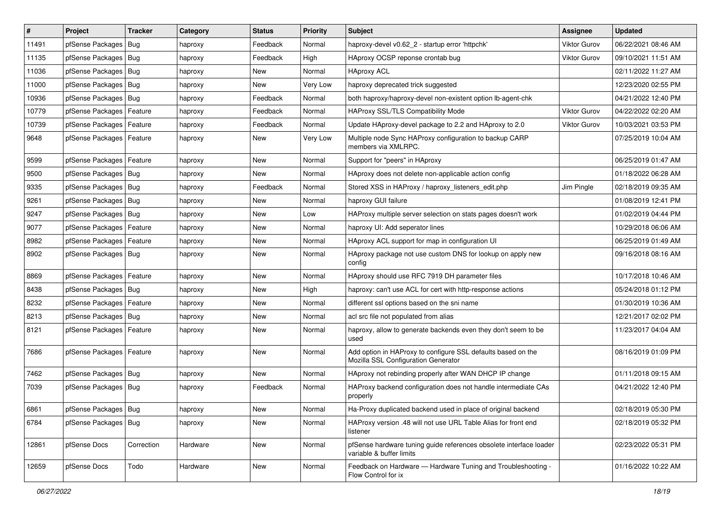| $\vert$ # | Project                | <b>Tracker</b> | Category | <b>Status</b> | <b>Priority</b> | Subject                                                                                             | Assignee            | <b>Updated</b>      |
|-----------|------------------------|----------------|----------|---------------|-----------------|-----------------------------------------------------------------------------------------------------|---------------------|---------------------|
| 11491     | pfSense Packages       | Bug            | haproxy  | Feedback      | Normal          | haproxy-devel v0.62 2 - startup error 'httpchk'                                                     | <b>Viktor Gurov</b> | 06/22/2021 08:46 AM |
| 11135     | pfSense Packages       | Bug            | haproxy  | Feedback      | High            | HAproxy OCSP reponse crontab bug                                                                    | <b>Viktor Gurov</b> | 09/10/2021 11:51 AM |
| 11036     | pfSense Packages   Bug |                | haproxy  | New           | Normal          | <b>HAproxy ACL</b>                                                                                  |                     | 02/11/2022 11:27 AM |
| 11000     | pfSense Packages   Bug |                | haproxy  | <b>New</b>    | <b>Very Low</b> | haproxy deprecated trick suggested                                                                  |                     | 12/23/2020 02:55 PM |
| 10936     | pfSense Packages       | Bug            | haproxy  | Feedback      | Normal          | both haproxy/haproxy-devel non-existent option lb-agent-chk                                         |                     | 04/21/2022 12:40 PM |
| 10779     | pfSense Packages       | Feature        | haproxy  | Feedback      | Normal          | HAProxy SSL/TLS Compatibility Mode                                                                  | <b>Viktor Gurov</b> | 04/22/2022 02:20 AM |
| 10739     | pfSense Packages       | Feature        | haproxy  | Feedback      | Normal          | Update HAproxy-devel package to 2.2 and HAproxy to 2.0                                              | <b>Viktor Gurov</b> | 10/03/2021 03:53 PM |
| 9648      | pfSense Packages       | Feature        | haproxy  | New           | Very Low        | Multiple node Sync HAProxy configuration to backup CARP<br>members via XMLRPC.                      |                     | 07/25/2019 10:04 AM |
| 9599      | pfSense Packages       | Feature        | haproxy  | <b>New</b>    | Normal          | Support for "peers" in HAproxy                                                                      |                     | 06/25/2019 01:47 AM |
| 9500      | pfSense Packages   Bug |                | haproxy  | New           | Normal          | HAproxy does not delete non-applicable action config                                                |                     | 01/18/2022 06:28 AM |
| 9335      | pfSense Packages   Bug |                | haproxy  | Feedback      | Normal          | Stored XSS in HAProxy / haproxy listeners edit.php                                                  | Jim Pingle          | 02/18/2019 09:35 AM |
| 9261      | pfSense Packages       | Bug            | haproxy  | New           | Normal          | haproxy GUI failure                                                                                 |                     | 01/08/2019 12:41 PM |
| 9247      | pfSense Packages   Bug |                | haproxy  | New           | Low             | HAProxy multiple server selection on stats pages doesn't work                                       |                     | 01/02/2019 04:44 PM |
| 9077      | pfSense Packages       | Feature        | haproxy  | New           | Normal          | haproxy UI: Add seperator lines                                                                     |                     | 10/29/2018 06:06 AM |
| 8982      | pfSense Packages       | Feature        | haproxy  | New           | Normal          | HAproxy ACL support for map in configuration UI                                                     |                     | 06/25/2019 01:49 AM |
| 8902      | pfSense Packages   Bug |                | haproxy  | New           | Normal          | HAproxy package not use custom DNS for lookup on apply new<br>config                                |                     | 09/16/2018 08:16 AM |
| 8869      | pfSense Packages       | Feature        | haproxy  | New           | Normal          | HAproxy should use RFC 7919 DH parameter files                                                      |                     | 10/17/2018 10:46 AM |
| 8438      | pfSense Packages   Bug |                | haproxy  | New           | High            | haproxy: can't use ACL for cert with http-response actions                                          |                     | 05/24/2018 01:12 PM |
| 8232      | pfSense Packages       | Feature        | haproxy  | New           | Normal          | different ssl options based on the sni name                                                         |                     | 01/30/2019 10:36 AM |
| 8213      | pfSense Packages   Bug |                | haproxy  | New           | Normal          | acl src file not populated from alias                                                               |                     | 12/21/2017 02:02 PM |
| 8121      | pfSense Packages       | Feature        | haproxy  | <b>New</b>    | Normal          | haproxy, allow to generate backends even they don't seem to be<br>used                              |                     | 11/23/2017 04:04 AM |
| 7686      | pfSense Packages       | Feature        | haproxy  | New           | Normal          | Add option in HAProxy to configure SSL defaults based on the<br>Mozilla SSL Configuration Generator |                     | 08/16/2019 01:09 PM |
| 7462      | pfSense Packages       | Bug            | haproxy  | <b>New</b>    | Normal          | HAproxy not rebinding properly after WAN DHCP IP change                                             |                     | 01/11/2018 09:15 AM |
| 7039      | pfSense Packages   Bug |                | haproxy  | Feedback      | Normal          | HAProxy backend configuration does not handle intermediate CAs<br>properly                          |                     | 04/21/2022 12:40 PM |
| 6861      | pfSense Packages   Bug |                | haproxy  | New           | Normal          | Ha-Proxy duplicated backend used in place of original backend                                       |                     | 02/18/2019 05:30 PM |
| 6784      | pfSense Packages   Bug |                | haproxy  | New           | Normal          | HAProxy version .48 will not use URL Table Alias for front end<br>listener                          |                     | 02/18/2019 05:32 PM |
| 12861     | pfSense Docs           | Correction     | Hardware | New           | Normal          | pfSense hardware tuning guide references obsolete interface loader<br>variable & buffer limits      |                     | 02/23/2022 05:31 PM |
| 12659     | pfSense Docs           | Todo           | Hardware | New           | Normal          | Feedback on Hardware — Hardware Tuning and Troubleshooting -<br>Flow Control for ix                 |                     | 01/16/2022 10:22 AM |